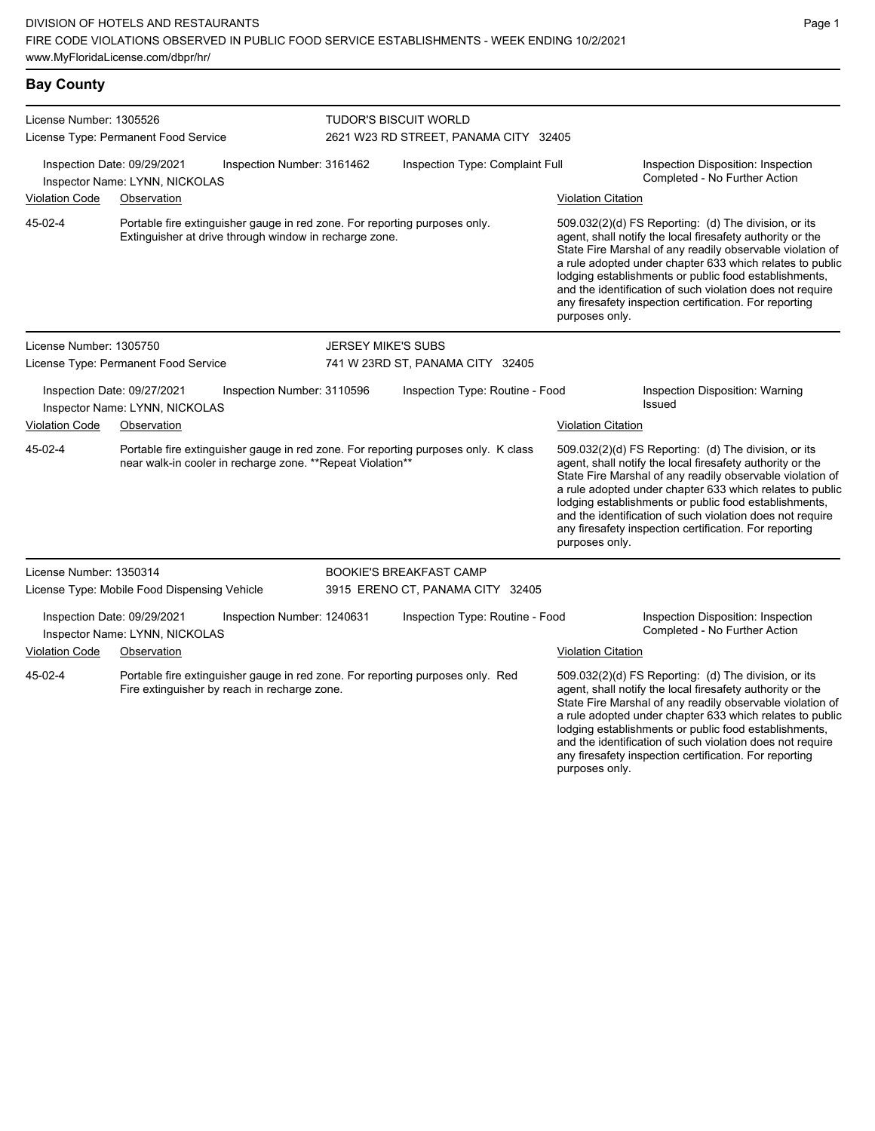| <b>Bay County</b>                                               |                                                               |                                                             |                                                                       |                                                                                              |  |                                                                                                                                                                                                                                                                                                                                                                                                                                              |
|-----------------------------------------------------------------|---------------------------------------------------------------|-------------------------------------------------------------|-----------------------------------------------------------------------|----------------------------------------------------------------------------------------------|--|----------------------------------------------------------------------------------------------------------------------------------------------------------------------------------------------------------------------------------------------------------------------------------------------------------------------------------------------------------------------------------------------------------------------------------------------|
| License Number: 1305526<br>License Type: Permanent Food Service |                                                               |                                                             | <b>TUDOR'S BISCUIT WORLD</b><br>2621 W23 RD STREET, PANAMA CITY 32405 |                                                                                              |  |                                                                                                                                                                                                                                                                                                                                                                                                                                              |
|                                                                 | Inspection Date: 09/29/2021<br>Inspector Name: LYNN, NICKOLAS | Inspection Number: 3161462                                  |                                                                       | Inspection Type: Complaint Full                                                              |  | Inspection Disposition: Inspection<br>Completed - No Further Action                                                                                                                                                                                                                                                                                                                                                                          |
| <b>Violation Code</b>                                           | Observation                                                   |                                                             |                                                                       |                                                                                              |  | <b>Violation Citation</b>                                                                                                                                                                                                                                                                                                                                                                                                                    |
| 45-02-4                                                         |                                                               | Extinguisher at drive through window in recharge zone.      |                                                                       | Portable fire extinguisher gauge in red zone. For reporting purposes only.<br>purposes only. |  | 509.032(2)(d) FS Reporting: (d) The division, or its<br>agent, shall notify the local firesafety authority or the<br>State Fire Marshal of any readily observable violation of<br>a rule adopted under chapter 633 which relates to public<br>lodging establishments or public food establishments,<br>and the identification of such violation does not require<br>any firesafety inspection certification. For reporting                   |
| License Number: 1305750                                         |                                                               |                                                             | <b>JERSEY MIKE'S SUBS</b>                                             |                                                                                              |  |                                                                                                                                                                                                                                                                                                                                                                                                                                              |
|                                                                 | License Type: Permanent Food Service                          |                                                             |                                                                       | 741 W 23RD ST, PANAMA CITY 32405                                                             |  |                                                                                                                                                                                                                                                                                                                                                                                                                                              |
|                                                                 | Inspection Date: 09/27/2021<br>Inspector Name: LYNN, NICKOLAS | Inspection Number: 3110596                                  |                                                                       | Inspection Type: Routine - Food                                                              |  | Inspection Disposition: Warning<br>Issued                                                                                                                                                                                                                                                                                                                                                                                                    |
| Violation Code                                                  | Observation                                                   |                                                             |                                                                       |                                                                                              |  | <b>Violation Citation</b>                                                                                                                                                                                                                                                                                                                                                                                                                    |
| 45-02-4                                                         |                                                               | near walk-in cooler in recharge zone. ** Repeat Violation** |                                                                       | Portable fire extinguisher gauge in red zone. For reporting purposes only. K class           |  | 509.032(2)(d) FS Reporting: (d) The division, or its<br>agent, shall notify the local firesafety authority or the<br>State Fire Marshal of any readily observable violation of<br>a rule adopted under chapter 633 which relates to public<br>lodging establishments or public food establishments,<br>and the identification of such violation does not require<br>any firesafety inspection certification. For reporting<br>purposes only. |
| License Number: 1350314                                         |                                                               |                                                             |                                                                       | <b>BOOKIE'S BREAKFAST CAMP</b>                                                               |  |                                                                                                                                                                                                                                                                                                                                                                                                                                              |
|                                                                 | License Type: Mobile Food Dispensing Vehicle                  |                                                             |                                                                       | 3915 ERENO CT, PANAMA CITY 32405                                                             |  |                                                                                                                                                                                                                                                                                                                                                                                                                                              |
|                                                                 | Inspection Date: 09/29/2021<br>Inspector Name: LYNN, NICKOLAS | Inspection Number: 1240631                                  |                                                                       | Inspection Type: Routine - Food                                                              |  | Inspection Disposition: Inspection<br>Completed - No Further Action                                                                                                                                                                                                                                                                                                                                                                          |
| Violation Code                                                  | Observation                                                   |                                                             |                                                                       |                                                                                              |  | <b>Violation Citation</b>                                                                                                                                                                                                                                                                                                                                                                                                                    |
| 45-02-4                                                         |                                                               | Fire extinguisher by reach in recharge zone.                |                                                                       | Portable fire extinguisher gauge in red zone. For reporting purposes only. Red               |  | 509.032(2)(d) FS Reporting: (d) The division, or its<br>agent, shall notify the local firesafety authority or the<br>State Fire Marshal of any readily observable violation of<br>a rule adopted under chapter 633 which relates to public<br>lodging establishments or public food establishments,<br>and the identification of such violation does not require                                                                             |

any firesafety inspection certification. For reporting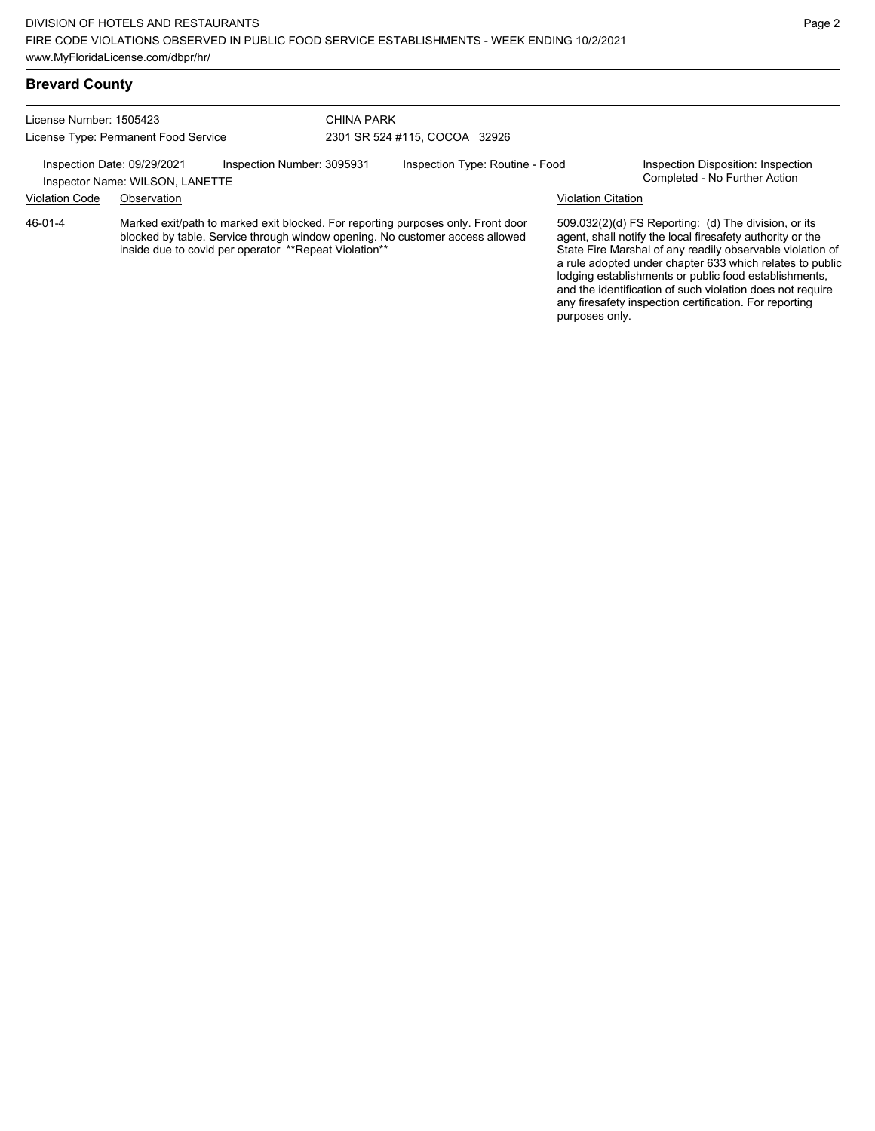#### **Brevard County**

License Number: 1505423 License Type: Permanent Food Service

CHINA PARK 2301 SR 524 #115, COCOA 32926

Inspection Date: 09/29/2021 Inspection Number: 3095931 Inspection Type: Routine - Food Inspection Disposition: Inspection<br>Inspector Name: WILSON LANETTE

Inspector Name: WILSON, LANETTE Violation Code Observation Violation Citation

Marked exit/path to marked exit blocked. For reporting purposes only. Front door blocked by table. Service through window opening. No customer access allowed inside due to covid per operator \*\*Repeat Violation\*\* 46-01-4

509.032(2)(d) FS Reporting: (d) The division, or its agent, shall notify the local firesafety authority or the State Fire Marshal of any readily observable violation of a rule adopted under chapter 633 which relates to public lodging establishments or public food establishments, and the identification of such violation does not require any firesafety inspection certification. For reporting purposes only.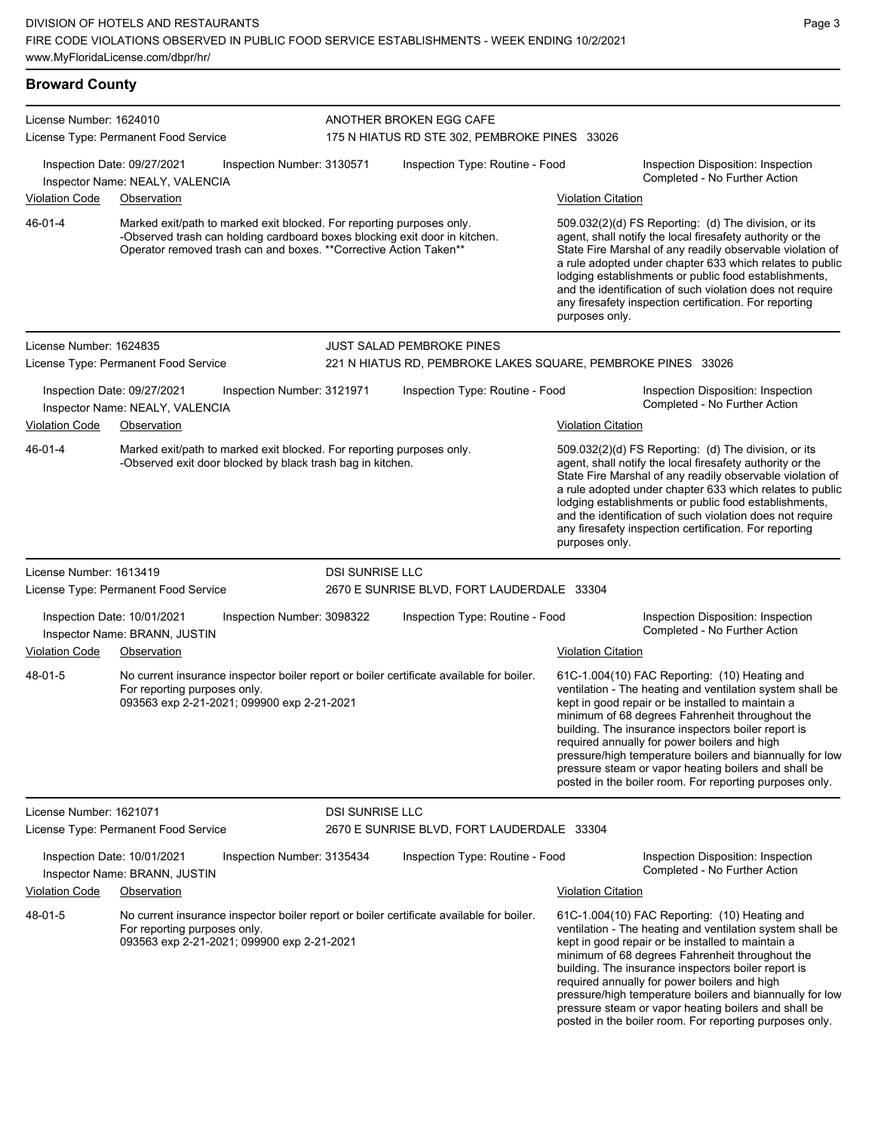#### **Broward County** License Number: 1624010 License Type: Permanent Food Service ANOTHER BROKEN EGG CAFE 175 N HIATUS RD STE 302, PEMBROKE PINES 33026 Inspection Date: 09/27/2021 Inspection Number: 3130571 Inspection Type: Routine - Food Inspection Disposition: Inspection Completed - No Further Action Inspector Name: NEALY, VALENCIA Violation Code Observation Violation Citation Marked exit/path to marked exit blocked. For reporting purposes only. -Observed trash can holding cardboard boxes blocking exit door in kitchen. Operator removed trash can and boxes. \*\*Corrective Action Taken\*\* 509.032(2)(d) FS Reporting: (d) The division, or its agent, shall notify the local firesafety authority or the State Fire Marshal of any readily observable violation of a rule adopted under chapter 633 which relates to public lodging establishments or public food establishments, and the identification of such violation does not require any firesafety inspection certification. For reporting purposes only. 46-01-4 License Number: 1624835 License Type: Permanent Food Service JUST SALAD PEMBROKE PINES 221 N HIATUS RD, PEMBROKE LAKES SQUARE, PEMBROKE PINES 33026 Inspection Date: 09/27/2021 Inspection Number: 3121971 Inspection Type: Routine - Food Inspection Disposition: Inspection Inspector Name: NEALY, VALENCIA Violation Code Observation **Violation Citation** Violation Citation Citation Marked exit/path to marked exit blocked. For reporting purposes only. -Observed exit door blocked by black trash bag in kitchen. 509.032(2)(d) FS Reporting: (d) The division, or its agent, shall notify the local firesafety authority or the State Fire Marshal of any readily observable violation of a rule adopted under chapter 633 which relates to public lodging establishments or public food establishments, and the identification of such violation does not require any firesafety inspection certification. For reporting purposes only. 46-01-4 License Number: 1613419 License Type: Permanent Food Service DSLSUNRISE LLC 2670 E SUNRISE BLVD, FORT LAUDERDALE 33304 Inspection Date: 10/01/2021 Inspection Number: 3098322 Inspection Type: Routine - Food Inspection Disposition: Inspection Inspector Name: BRANN, JUSTIN Violation Code Observation Violation Citation No current insurance inspector boiler report or boiler certificate available for boiler. For reporting purposes only. 093563 exp 2-21-2021; 099900 exp 2-21-2021 61C-1.004(10) FAC Reporting: (10) Heating and ventilation - The heating and ventilation system shall be kept in good repair or be installed to maintain a minimum of 68 degrees Fahrenheit throughout the building. The insurance inspectors boiler report is required annually for power boilers and high pressure/high temperature boilers and biannually for low pressure steam or vapor heating boilers and shall be posted in the boiler room. For reporting purposes only. 48-01-5 License Number: 1621071 License Type: Permanent Food Service DSI SUNRISE LLC 2670 E SUNRISE BLVD, FORT LAUDERDALE 33304 Inspection Date: 10/01/2021 Inspection Number: 3135434 Inspection Type: Routine - Food Inspection Disposition: Inspection Inspector Name: BRANN, JUSTIN **Inspector Name: BRANN, JUSTIN** Violation Code Observation Violation Citation No current insurance inspector boiler report or boiler certificate available for boiler. 48-01-5

For reporting purposes only. 093563 exp 2-21-2021; 099900 exp 2-21-2021 61C-1.004(10) FAC Reporting: (10) Heating and ventilation - The heating and ventilation system shall be kept in good repair or be installed to maintain a minimum of 68 degrees Fahrenheit throughout the building. The insurance inspectors boiler report is required annually for power boilers and high pressure/high temperature boilers and biannually for low pressure steam or vapor heating boilers and shall be posted in the boiler room. For reporting purposes only.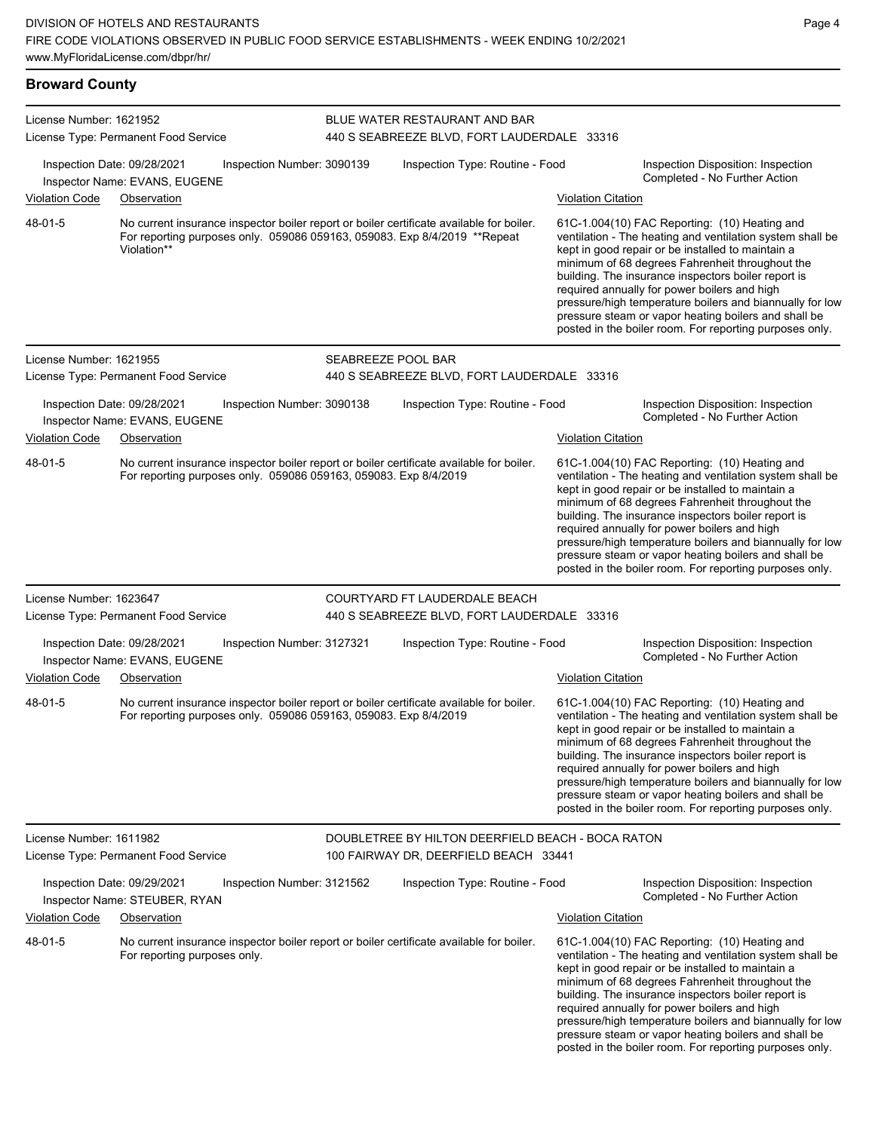**Broward County** License Number: 1621952 License Type: Permanent Food Service BLUE WATER RESTAURANT AND BAR 440 S SEABREEZE BLVD, FORT LAUDERDALE 33316 Inspection Date: 09/28/2021 Inspection Number: 3090139 Inspection Type: Routine - Food Inspection Disposition: Inspection Completed - No Further Action Inspector Name: EVANS, EUGENE Violation Code Observation Violation Citation No current insurance inspector boiler report or boiler certificate available for boiler. For reporting purposes only. 059086 059163, 059083. Exp 8/4/2019 \*\*Repeat Violation\*\* 61C-1.004(10) FAC Reporting: (10) Heating and ventilation - The heating and ventilation system shall be kept in good repair or be installed to maintain a minimum of 68 degrees Fahrenheit throughout the building. The insurance inspectors boiler report is required annually for power boilers and high pressure/high temperature boilers and biannually for low pressure steam or vapor heating boilers and shall be posted in the boiler room. For reporting purposes only. 48-01-5 License Number: 1621955 License Type: Permanent Food Service SEABREEZE POOL BAR 440 S SEABREEZE BLVD, FORT LAUDERDALE 33316 Inspection Date: 09/28/2021 Inspection Number: 3090138 Inspection Type: Routine - Food Inspection Disposition: Inspection<br>Inspector Name: EVANS, FLIGENE Inspector Name: EVANS, EUGENE Violation Code Observation Violation Citation No current insurance inspector boiler report or boiler certificate available for boiler. For reporting purposes only. 059086 059163, 059083. Exp 8/4/2019 61C-1.004(10) FAC Reporting: (10) Heating and ventilation - The heating and ventilation system shall be kept in good repair or be installed to maintain a minimum of 68 degrees Fahrenheit throughout the building. The insurance inspectors boiler report is required annually for power boilers and high pressure/high temperature boilers and biannually for low pressure steam or vapor heating boilers and shall be posted in the boiler room. For reporting purposes only. 48-01-5 License Number: 1623647 License Type: Permanent Food Service COURTYARD FT LAUDERDALE BEACH 440 S SEABREEZE BLVD, FORT LAUDERDALE 33316 Inspection Date: 09/28/2021 Inspection Number: 3127321 Inspection Type: Routine - Food Inspection Disposition: Inspection Inspector Name: EVANS, EUGENE<br>
and the completed - No Further Action Inspector Name: EVANS, EUGENE Violation Code Observation Violation Citation No current insurance inspector boiler report or boiler certificate available for boiler. For reporting purposes only. 059086 059163, 059083. Exp 8/4/2019 61C-1.004(10) FAC Reporting: (10) Heating and ventilation - The heating and ventilation system shall be kept in good repair or be installed to maintain a minimum of 68 degrees Fahrenheit throughout the building. The insurance inspectors boiler report is required annually for power boilers and high pressure/high temperature boilers and biannually for low pressure steam or vapor heating boilers and shall be posted in the boiler room. For reporting purposes only. 48-01-5 License Number: 1611982 License Type: Permanent Food Service DOUBLETREE BY HILTON DEERFIELD BEACH - BOCA RATON 100 FAIRWAY DR, DEERFIELD BEACH 33441 Inspection Date: 09/29/2021 Inspection Number: 3121562 Inspection Type: Routine - Food Inspection Disposition: Inspection Completed - No Further Action Inspector Name: STEUBER, RYAN Violation Code Observation Violation Citation No current insurance inspector boiler report or boiler certificate available for boiler. For reporting purposes only. 61C-1.004(10) FAC Reporting: (10) Heating and ventilation - The heating and ventilation system shall be kept in good repair or be installed to maintain a minimum of 68 degrees Fahrenheit throughout the building. The insurance inspectors boiler report is required annually for power boilers and high pressure/high temperature boilers and biannually for low pressure steam or vapor heating boilers and shall be posted in the boiler room. For reporting purposes only. 48-01-5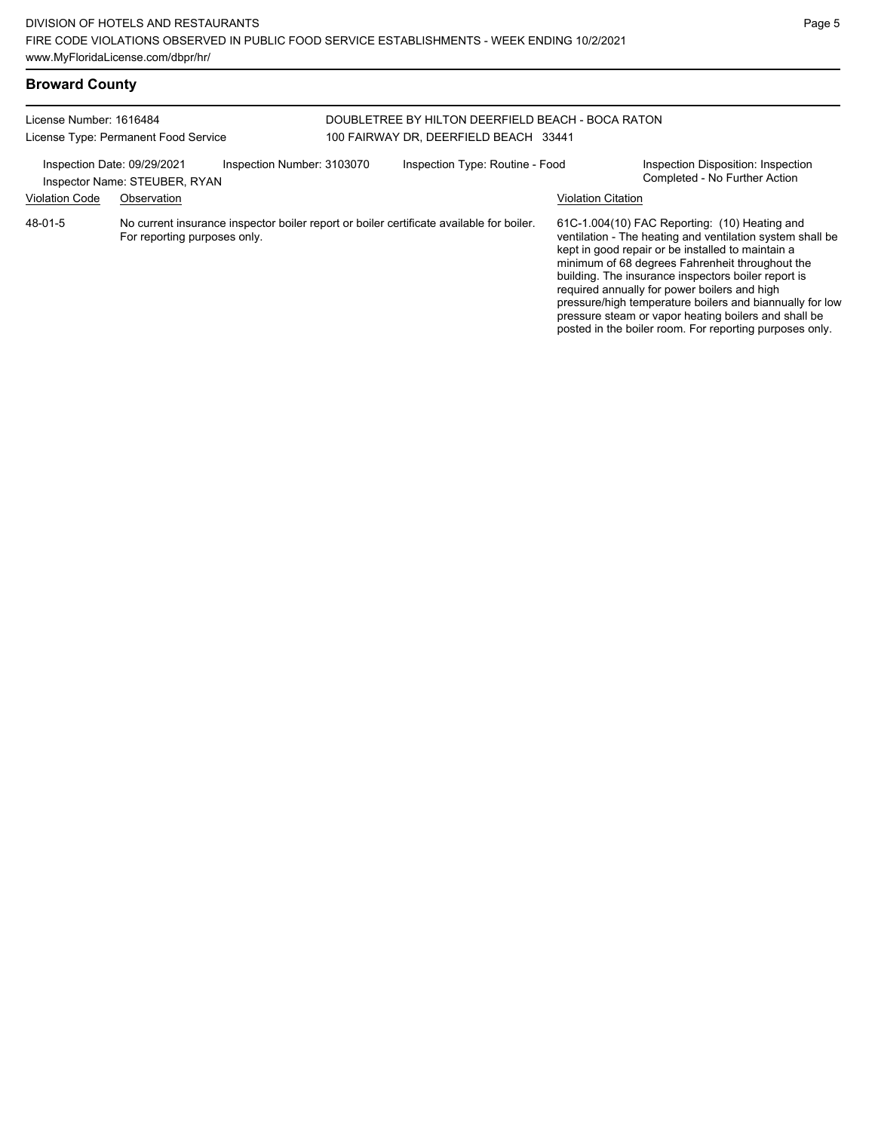| License Number: 1616484     | License Type: Permanent Food Service                                                                                     | DOUBLETREE BY HILTON DEERFIELD BEACH - BOCA RATON<br>100 FAIRWAY DR, DEERFIELD BEACH 33441 |                           |                                                                                                                                                                                                                                                                                                                                                                                                                                               |
|-----------------------------|--------------------------------------------------------------------------------------------------------------------------|--------------------------------------------------------------------------------------------|---------------------------|-----------------------------------------------------------------------------------------------------------------------------------------------------------------------------------------------------------------------------------------------------------------------------------------------------------------------------------------------------------------------------------------------------------------------------------------------|
| Inspection Date: 09/29/2021 | Inspection Number: 3103070<br>Inspector Name: STEUBER, RYAN                                                              | Inspection Type: Routine - Food                                                            |                           | Inspection Disposition: Inspection<br>Completed - No Further Action                                                                                                                                                                                                                                                                                                                                                                           |
| <b>Violation Code</b>       | Observation                                                                                                              |                                                                                            | <b>Violation Citation</b> |                                                                                                                                                                                                                                                                                                                                                                                                                                               |
| 48-01-5                     | No current insurance inspector boiler report or boiler certificate available for boiler.<br>For reporting purposes only. |                                                                                            |                           | 61C-1.004(10) FAC Reporting: (10) Heating and<br>ventilation - The heating and ventilation system shall be<br>kept in good repair or be installed to maintain a<br>minimum of 68 degrees Fahrenheit throughout the<br>building. The insurance inspectors boiler report is<br>required annually for power boilers and high<br>pressure/high temperature boilers and biannually for low<br>pressure steam or vapor heating boilers and shall be |

posted in the boiler room. For reporting purposes only.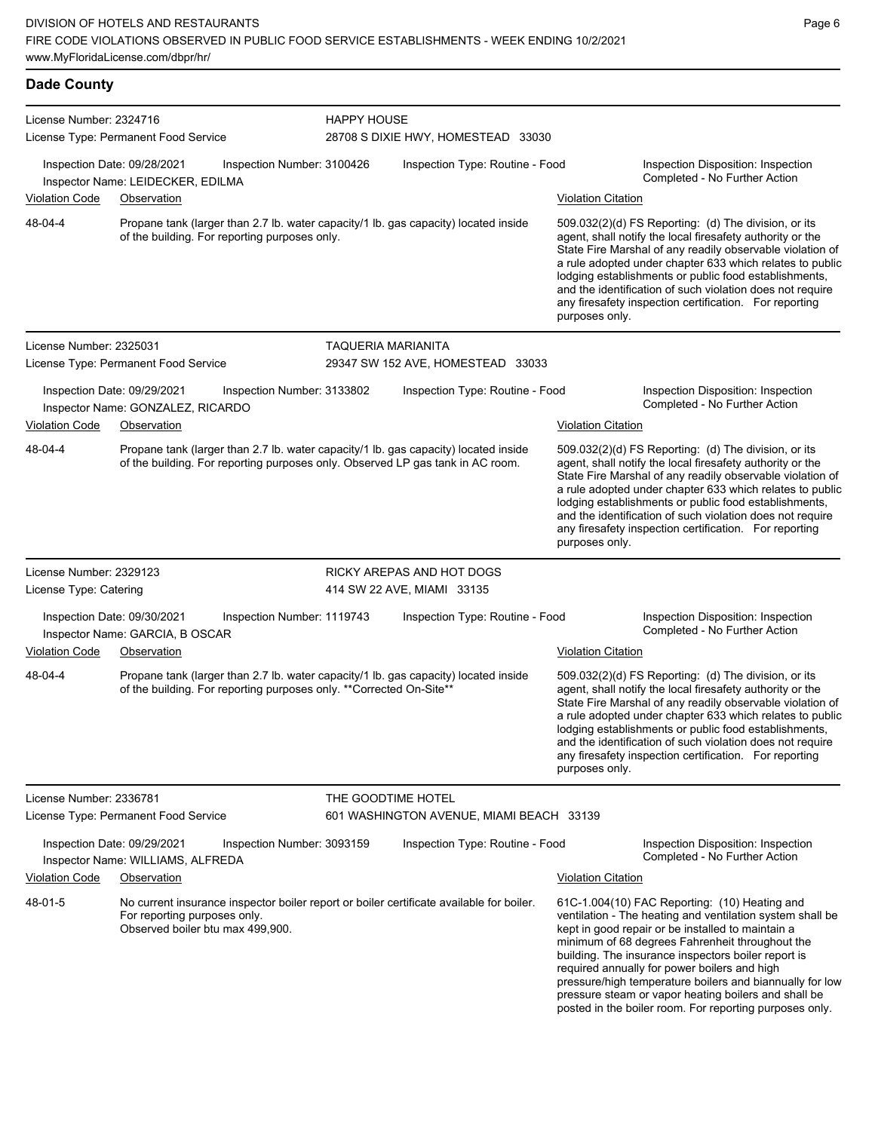l,

| <b>Dade County</b>      |                                                                                                                                                                       |                    |                                                          |                           |                                                                                                                                                                                                                                                                                                                                                                                                                            |  |  |  |  |
|-------------------------|-----------------------------------------------------------------------------------------------------------------------------------------------------------------------|--------------------|----------------------------------------------------------|---------------------------|----------------------------------------------------------------------------------------------------------------------------------------------------------------------------------------------------------------------------------------------------------------------------------------------------------------------------------------------------------------------------------------------------------------------------|--|--|--|--|
| License Number: 2324716 | License Type: Permanent Food Service                                                                                                                                  |                    | <b>HAPPY HOUSE</b><br>28708 S DIXIE HWY, HOMESTEAD 33030 |                           |                                                                                                                                                                                                                                                                                                                                                                                                                            |  |  |  |  |
|                         | Inspection Date: 09/28/2021<br>Inspection Number: 3100426<br>Inspector Name: LEIDECKER, EDILMA                                                                        |                    | Inspection Type: Routine - Food                          |                           | Inspection Disposition: Inspection<br>Completed - No Further Action                                                                                                                                                                                                                                                                                                                                                        |  |  |  |  |
| Violation Code          | Observation                                                                                                                                                           |                    |                                                          | <b>Violation Citation</b> |                                                                                                                                                                                                                                                                                                                                                                                                                            |  |  |  |  |
| 48-04-4                 | Propane tank (larger than 2.7 lb. water capacity/1 lb. gas capacity) located inside<br>of the building. For reporting purposes only.                                  |                    |                                                          | purposes only.            | 509.032(2)(d) FS Reporting: (d) The division, or its<br>agent, shall notify the local firesafety authority or the<br>State Fire Marshal of any readily observable violation of<br>a rule adopted under chapter 633 which relates to public<br>lodging establishments or public food establishments,<br>and the identification of such violation does not require<br>any firesafety inspection certification. For reporting |  |  |  |  |
| License Number: 2325031 |                                                                                                                                                                       | TAQUERIA MARIANITA |                                                          |                           |                                                                                                                                                                                                                                                                                                                                                                                                                            |  |  |  |  |
|                         | License Type: Permanent Food Service                                                                                                                                  |                    | 29347 SW 152 AVE, HOMESTEAD 33033                        |                           |                                                                                                                                                                                                                                                                                                                                                                                                                            |  |  |  |  |
|                         | Inspection Date: 09/29/2021<br>Inspection Number: 3133802<br>Inspector Name: GONZALEZ, RICARDO                                                                        |                    | Inspection Type: Routine - Food                          |                           | Inspection Disposition: Inspection<br>Completed - No Further Action                                                                                                                                                                                                                                                                                                                                                        |  |  |  |  |
| <b>Violation Code</b>   | Observation                                                                                                                                                           |                    |                                                          | <b>Violation Citation</b> |                                                                                                                                                                                                                                                                                                                                                                                                                            |  |  |  |  |
| 48-04-4                 | Propane tank (larger than 2.7 lb. water capacity/1 lb. gas capacity) located inside<br>of the building. For reporting purposes only. Observed LP gas tank in AC room. |                    |                                                          | purposes only.            | 509.032(2)(d) FS Reporting: (d) The division, or its<br>agent, shall notify the local firesafety authority or the<br>State Fire Marshal of any readily observable violation of<br>a rule adopted under chapter 633 which relates to public<br>lodging establishments or public food establishments,<br>and the identification of such violation does not require<br>any firesafety inspection certification. For reporting |  |  |  |  |
| License Number: 2329123 |                                                                                                                                                                       |                    | RICKY AREPAS AND HOT DOGS                                |                           |                                                                                                                                                                                                                                                                                                                                                                                                                            |  |  |  |  |
| License Type: Catering  |                                                                                                                                                                       |                    | 414 SW 22 AVE, MIAMI 33135                               |                           |                                                                                                                                                                                                                                                                                                                                                                                                                            |  |  |  |  |
|                         | Inspection Date: 09/30/2021<br>Inspection Number: 1119743<br>Inspector Name: GARCIA, B OSCAR                                                                          |                    | Inspection Type: Routine - Food                          |                           | Inspection Disposition: Inspection<br>Completed - No Further Action                                                                                                                                                                                                                                                                                                                                                        |  |  |  |  |
| <b>Violation Code</b>   | Observation                                                                                                                                                           |                    |                                                          | <b>Violation Citation</b> |                                                                                                                                                                                                                                                                                                                                                                                                                            |  |  |  |  |
| 48-04-4                 | Propane tank (larger than 2.7 lb. water capacity/1 lb. gas capacity) located inside<br>of the building. For reporting purposes only. **Corrected On-Site**            |                    |                                                          | purposes only.            | 509.032(2)(d) FS Reporting: (d) The division, or its<br>agent, shall notify the local firesafety authority or the<br>State Fire Marshal of any readily observable violation of<br>a rule adopted under chapter 633 which relates to public<br>lodging establishments or public food establishments,<br>and the identification of such violation does not require<br>any firesafety inspection certification. For reporting |  |  |  |  |
| License Number: 2336781 | License Type: Permanent Food Service                                                                                                                                  | THE GOODTIME HOTEL | 601 WASHINGTON AVENUE, MIAMI BEACH 33139                 |                           |                                                                                                                                                                                                                                                                                                                                                                                                                            |  |  |  |  |
|                         | Inspection Date: 09/29/2021<br>Inspection Number: 3093159<br>Inspector Name: WILLIAMS, ALFREDA                                                                        |                    | Inspection Type: Routine - Food                          |                           | Inspection Disposition: Inspection<br>Completed - No Further Action                                                                                                                                                                                                                                                                                                                                                        |  |  |  |  |
| Violation Code          | Observation                                                                                                                                                           |                    |                                                          | <b>Violation Citation</b> |                                                                                                                                                                                                                                                                                                                                                                                                                            |  |  |  |  |
| 48-01-5                 | No current insurance inspector boiler report or boiler certificate available for boiler.<br>For reporting purposes only.<br>Observed boiler btu max 499,900.          |                    |                                                          |                           | 61C-1.004(10) FAC Reporting: (10) Heating and<br>ventilation - The heating and ventilation system shall be<br>kept in good repair or be installed to maintain a<br>minimum of 68 degrees Fahrenheit throughout the<br>building. The insurance inspectors boiler report is<br>required annually for power boilers and high                                                                                                  |  |  |  |  |

pressure/high temperature boilers and biannually for low pressure steam or vapor heating boilers and shall be posted in the boiler room. For reporting purposes only.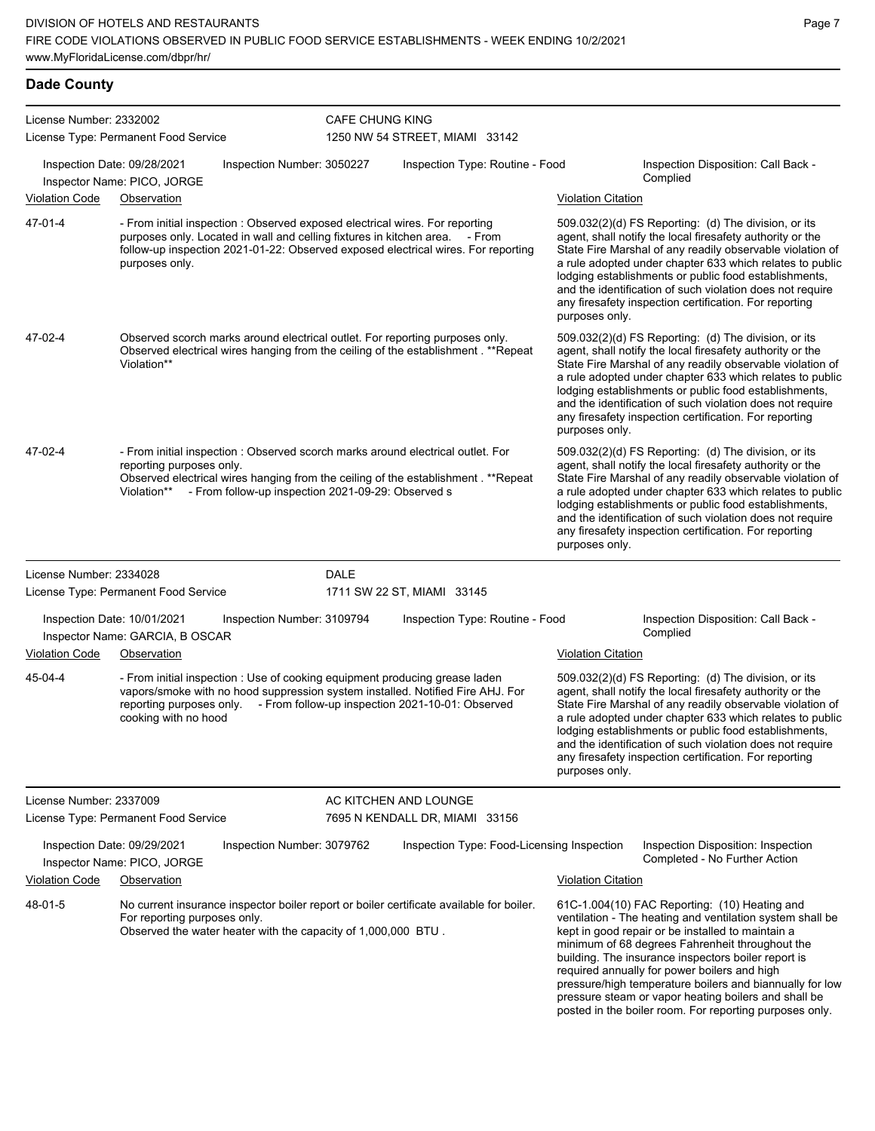## **Dade County**

| License Number: 2332002 |                                                                |                                                                              | <b>CAFE CHUNG KING</b> |                                                                                                                                                                                                                                            |                           |                                                                                                                                                                                                                                                                                                                                                                                                                                                                                                          |
|-------------------------|----------------------------------------------------------------|------------------------------------------------------------------------------|------------------------|--------------------------------------------------------------------------------------------------------------------------------------------------------------------------------------------------------------------------------------------|---------------------------|----------------------------------------------------------------------------------------------------------------------------------------------------------------------------------------------------------------------------------------------------------------------------------------------------------------------------------------------------------------------------------------------------------------------------------------------------------------------------------------------------------|
|                         | License Type: Permanent Food Service                           |                                                                              |                        | 1250 NW 54 STREET, MIAMI 33142                                                                                                                                                                                                             |                           |                                                                                                                                                                                                                                                                                                                                                                                                                                                                                                          |
|                         | Inspection Date: 09/28/2021<br>Inspector Name: PICO, JORGE     | Inspection Number: 3050227                                                   |                        | Inspection Type: Routine - Food                                                                                                                                                                                                            |                           | Inspection Disposition: Call Back -<br>Complied                                                                                                                                                                                                                                                                                                                                                                                                                                                          |
| <b>Violation Code</b>   | Observation                                                    |                                                                              |                        |                                                                                                                                                                                                                                            | <b>Violation Citation</b> |                                                                                                                                                                                                                                                                                                                                                                                                                                                                                                          |
| 47-01-4                 | purposes only.                                                 | - From initial inspection : Observed exposed electrical wires. For reporting |                        | purposes only. Located in wall and celling fixtures in kitchen area. - From<br>follow-up inspection 2021-01-22: Observed exposed electrical wires. For reporting                                                                           | purposes only.            | 509.032(2)(d) FS Reporting: (d) The division, or its<br>agent, shall notify the local firesafety authority or the<br>State Fire Marshal of any readily observable violation of<br>a rule adopted under chapter 633 which relates to public<br>lodging establishments or public food establishments,<br>and the identification of such violation does not require<br>any firesafety inspection certification. For reporting                                                                               |
| 47-02-4                 | Violation**                                                    |                                                                              |                        | Observed scorch marks around electrical outlet. For reporting purposes only.<br>Observed electrical wires hanging from the ceiling of the establishment . **Repeat                                                                         | purposes only.            | 509.032(2)(d) FS Reporting: (d) The division, or its<br>agent, shall notify the local firesafety authority or the<br>State Fire Marshal of any readily observable violation of<br>a rule adopted under chapter 633 which relates to public<br>lodging establishments or public food establishments,<br>and the identification of such violation does not require<br>any firesafety inspection certification. For reporting                                                                               |
| 47-02-4                 | reporting purposes only.                                       | Violation** - From follow-up inspection 2021-09-29: Observed s               |                        | - From initial inspection : Observed scorch marks around electrical outlet. For<br>Observed electrical wires hanging from the ceiling of the establishment . **Repeat                                                                      | purposes only.            | 509.032(2)(d) FS Reporting: (d) The division, or its<br>agent, shall notify the local firesafety authority or the<br>State Fire Marshal of any readily observable violation of<br>a rule adopted under chapter 633 which relates to public<br>lodging establishments or public food establishments,<br>and the identification of such violation does not require<br>any firesafety inspection certification. For reporting                                                                               |
| License Number: 2334028 | License Type: Permanent Food Service                           |                                                                              | DALE                   | 1711 SW 22 ST, MIAMI 33145                                                                                                                                                                                                                 |                           |                                                                                                                                                                                                                                                                                                                                                                                                                                                                                                          |
|                         |                                                                |                                                                              |                        |                                                                                                                                                                                                                                            |                           |                                                                                                                                                                                                                                                                                                                                                                                                                                                                                                          |
|                         | Inspection Date: 10/01/2021<br>Inspector Name: GARCIA, B OSCAR | Inspection Number: 3109794                                                   |                        | Inspection Type: Routine - Food                                                                                                                                                                                                            |                           | Inspection Disposition: Call Back -<br>Complied                                                                                                                                                                                                                                                                                                                                                                                                                                                          |
| <b>Violation Code</b>   | Observation                                                    |                                                                              |                        |                                                                                                                                                                                                                                            | <b>Violation Citation</b> |                                                                                                                                                                                                                                                                                                                                                                                                                                                                                                          |
| 45-04-4                 | cooking with no hood                                           |                                                                              |                        | - From initial inspection : Use of cooking equipment producing grease laden<br>vapors/smoke with no hood suppression system installed. Notified Fire AHJ. For<br>reporting purposes only. - From follow-up inspection 2021-10-01: Observed | purposes only.            | 509.032(2)(d) FS Reporting: (d) The division, or its<br>agent, shall notify the local firesafety authority or the<br>State Fire Marshal of any readily observable violation of<br>a rule adopted under chapter 633 which relates to public<br>lodging establishments or public food establishments,<br>and the identification of such violation does not require<br>any firesafety inspection certification. For reporting                                                                               |
| License Number: 2337009 |                                                                |                                                                              |                        | AC KITCHEN AND LOUNGE                                                                                                                                                                                                                      |                           |                                                                                                                                                                                                                                                                                                                                                                                                                                                                                                          |
|                         | License Type: Permanent Food Service                           |                                                                              |                        | 7695 N KENDALL DR, MIAMI 33156                                                                                                                                                                                                             |                           |                                                                                                                                                                                                                                                                                                                                                                                                                                                                                                          |
|                         | Inspection Date: 09/29/2021<br>Inspector Name: PICO, JORGE     | Inspection Number: 3079762                                                   |                        | Inspection Type: Food-Licensing Inspection                                                                                                                                                                                                 |                           | Inspection Disposition: Inspection<br>Completed - No Further Action                                                                                                                                                                                                                                                                                                                                                                                                                                      |
| <b>Violation Code</b>   | Observation                                                    |                                                                              |                        |                                                                                                                                                                                                                                            | <b>Violation Citation</b> |                                                                                                                                                                                                                                                                                                                                                                                                                                                                                                          |
| 48-01-5                 | For reporting purposes only.                                   | Observed the water heater with the capacity of 1,000,000 BTU.                |                        | No current insurance inspector boiler report or boiler certificate available for boiler.                                                                                                                                                   |                           | 61C-1.004(10) FAC Reporting: (10) Heating and<br>ventilation - The heating and ventilation system shall be<br>kept in good repair or be installed to maintain a<br>minimum of 68 degrees Fahrenheit throughout the<br>building. The insurance inspectors boiler report is<br>required annually for power boilers and high<br>pressure/high temperature boilers and biannually for low<br>pressure steam or vapor heating boilers and shall be<br>posted in the boiler room. For reporting purposes only. |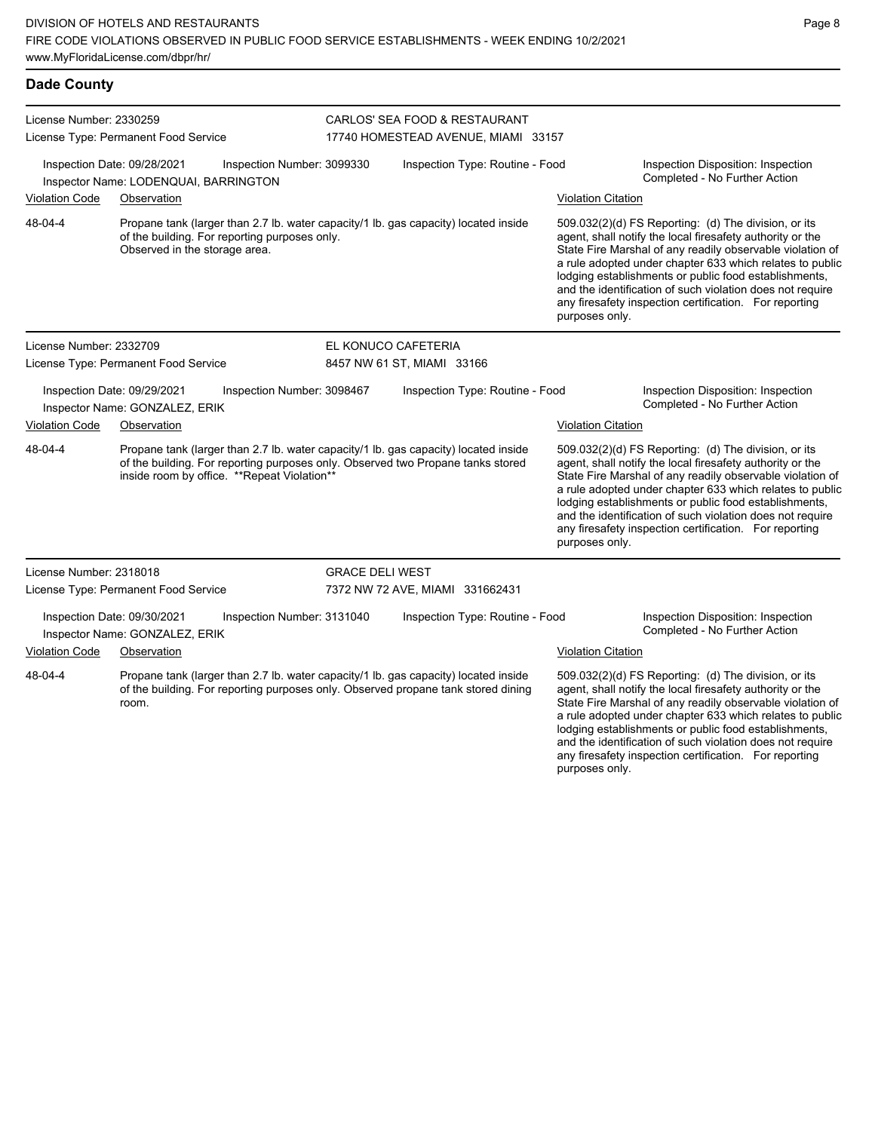| <b>Dade County</b>                                              |                                                                                                                                                                                                                        |                            |                                                                                                                                                                                                                                                                                                                                                                                                                                                                                                                                     |                                                                                                                                                                                                                                                                                                                                                                                                                                              |  |  |  |
|-----------------------------------------------------------------|------------------------------------------------------------------------------------------------------------------------------------------------------------------------------------------------------------------------|----------------------------|-------------------------------------------------------------------------------------------------------------------------------------------------------------------------------------------------------------------------------------------------------------------------------------------------------------------------------------------------------------------------------------------------------------------------------------------------------------------------------------------------------------------------------------|----------------------------------------------------------------------------------------------------------------------------------------------------------------------------------------------------------------------------------------------------------------------------------------------------------------------------------------------------------------------------------------------------------------------------------------------|--|--|--|
| License Number: 2330259<br>License Type: Permanent Food Service |                                                                                                                                                                                                                        |                            | CARLOS' SEA FOOD & RESTAURANT<br>17740 HOMESTEAD AVENUE, MIAMI 33157                                                                                                                                                                                                                                                                                                                                                                                                                                                                |                                                                                                                                                                                                                                                                                                                                                                                                                                              |  |  |  |
|                                                                 | Inspection Date: 09/28/2021<br>Inspector Name: LODENQUAI, BARRINGTON                                                                                                                                                   | Inspection Number: 3099330 | Inspection Type: Routine - Food                                                                                                                                                                                                                                                                                                                                                                                                                                                                                                     | Inspection Disposition: Inspection<br>Completed - No Further Action                                                                                                                                                                                                                                                                                                                                                                          |  |  |  |
| Violation Code                                                  | Observation                                                                                                                                                                                                            |                            |                                                                                                                                                                                                                                                                                                                                                                                                                                                                                                                                     | <b>Violation Citation</b>                                                                                                                                                                                                                                                                                                                                                                                                                    |  |  |  |
| 48-04-4                                                         | of the building. For reporting purposes only.<br>Observed in the storage area.                                                                                                                                         |                            | Propane tank (larger than 2.7 lb. water capacity/1 lb. gas capacity) located inside<br>509.032(2)(d) FS Reporting: (d) The division, or its<br>agent, shall notify the local firesafety authority or the<br>State Fire Marshal of any readily observable violation of<br>a rule adopted under chapter 633 which relates to public<br>lodging establishments or public food establishments,<br>and the identification of such violation does not require<br>any firesafety inspection certification. For reporting<br>purposes only. |                                                                                                                                                                                                                                                                                                                                                                                                                                              |  |  |  |
| License Number: 2332709                                         |                                                                                                                                                                                                                        |                            | EL KONUCO CAFETERIA                                                                                                                                                                                                                                                                                                                                                                                                                                                                                                                 |                                                                                                                                                                                                                                                                                                                                                                                                                                              |  |  |  |
|                                                                 | License Type: Permanent Food Service                                                                                                                                                                                   |                            | 8457 NW 61 ST, MIAMI 33166                                                                                                                                                                                                                                                                                                                                                                                                                                                                                                          |                                                                                                                                                                                                                                                                                                                                                                                                                                              |  |  |  |
|                                                                 | Inspection Date: 09/29/2021<br>Inspector Name: GONZALEZ, ERIK                                                                                                                                                          | Inspection Number: 3098467 | Inspection Type: Routine - Food                                                                                                                                                                                                                                                                                                                                                                                                                                                                                                     | Inspection Disposition: Inspection<br>Completed - No Further Action                                                                                                                                                                                                                                                                                                                                                                          |  |  |  |
| Violation Code                                                  | Observation                                                                                                                                                                                                            |                            |                                                                                                                                                                                                                                                                                                                                                                                                                                                                                                                                     | <b>Violation Citation</b>                                                                                                                                                                                                                                                                                                                                                                                                                    |  |  |  |
| 48-04-4                                                         | Propane tank (larger than 2.7 lb. water capacity/1 lb. gas capacity) located inside<br>of the building. For reporting purposes only. Observed two Propane tanks stored<br>inside room by office. ** Repeat Violation** |                            |                                                                                                                                                                                                                                                                                                                                                                                                                                                                                                                                     | 509.032(2)(d) FS Reporting: (d) The division, or its<br>agent, shall notify the local firesafety authority or the<br>State Fire Marshal of any readily observable violation of<br>a rule adopted under chapter 633 which relates to public<br>lodging establishments or public food establishments,<br>and the identification of such violation does not require<br>any firesafety inspection certification. For reporting<br>purposes only. |  |  |  |
| License Number: 2318018                                         |                                                                                                                                                                                                                        | <b>GRACE DELI WEST</b>     |                                                                                                                                                                                                                                                                                                                                                                                                                                                                                                                                     |                                                                                                                                                                                                                                                                                                                                                                                                                                              |  |  |  |
|                                                                 | License Type: Permanent Food Service                                                                                                                                                                                   |                            | 7372 NW 72 AVE, MIAMI 331662431                                                                                                                                                                                                                                                                                                                                                                                                                                                                                                     |                                                                                                                                                                                                                                                                                                                                                                                                                                              |  |  |  |
|                                                                 | Inspection Date: 09/30/2021<br>Inspector Name: GONZALEZ, ERIK                                                                                                                                                          | Inspection Number: 3131040 | Inspection Type: Routine - Food                                                                                                                                                                                                                                                                                                                                                                                                                                                                                                     | Inspection Disposition: Inspection<br>Completed - No Further Action                                                                                                                                                                                                                                                                                                                                                                          |  |  |  |
| Violation Code                                                  | Observation                                                                                                                                                                                                            |                            |                                                                                                                                                                                                                                                                                                                                                                                                                                                                                                                                     | <b>Violation Citation</b>                                                                                                                                                                                                                                                                                                                                                                                                                    |  |  |  |
| 48-04-4                                                         | Propane tank (larger than 2.7 lb. water capacity/1 lb. gas capacity) located inside<br>of the building. For reporting purposes only. Observed propane tank stored dining<br>room.                                      |                            |                                                                                                                                                                                                                                                                                                                                                                                                                                                                                                                                     | 509.032(2)(d) FS Reporting: (d) The division, or its<br>agent, shall notify the local firesafety authority or the<br>State Fire Marshal of any readily observable violation of<br>a rule adopted under chapter 633 which relates to public<br>lodging establishments or public food establishments,<br>and the identification of such violation does not require                                                                             |  |  |  |

any firesafety inspection certification. For reporting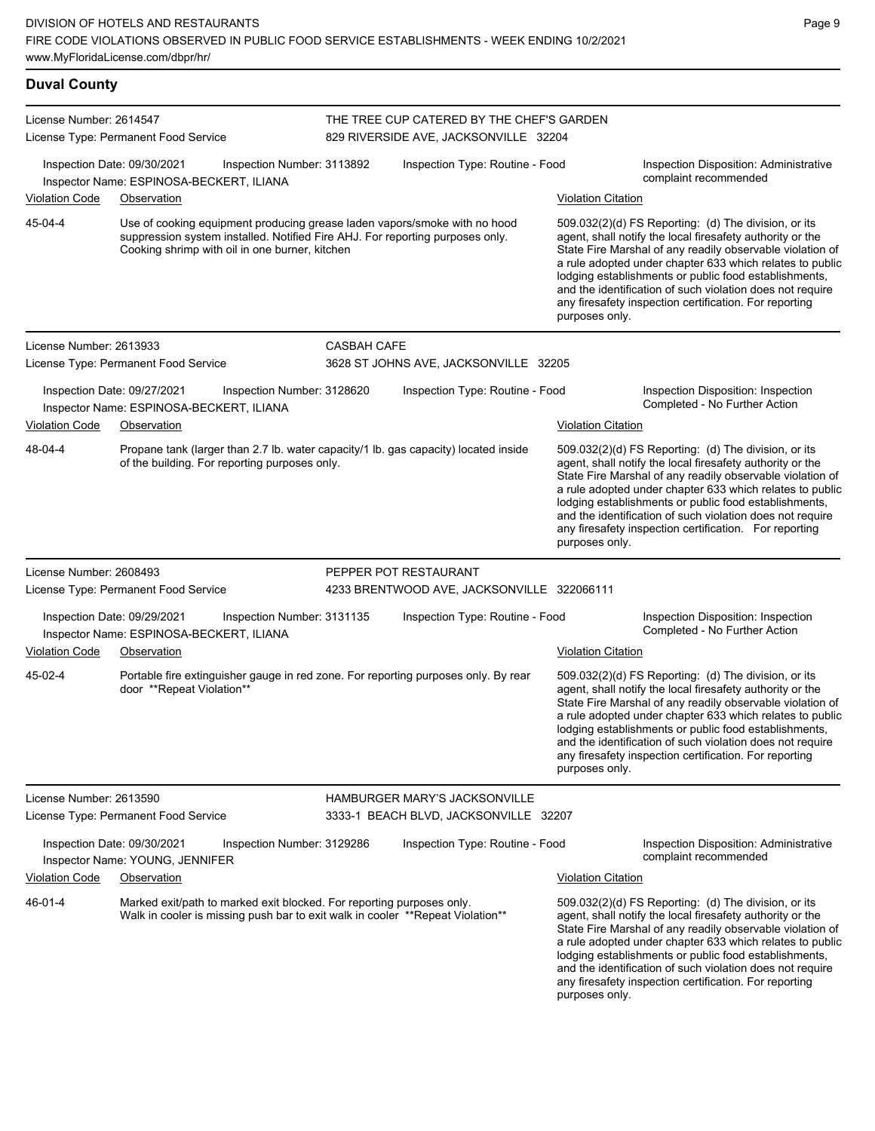| <b>Duval County</b>     |                                                                                                                                                                                                              |                    |                                                                                    |                           |                                                                                                                                                                                                                                                                                                                                                                                                                            |  |  |  |
|-------------------------|--------------------------------------------------------------------------------------------------------------------------------------------------------------------------------------------------------------|--------------------|------------------------------------------------------------------------------------|---------------------------|----------------------------------------------------------------------------------------------------------------------------------------------------------------------------------------------------------------------------------------------------------------------------------------------------------------------------------------------------------------------------------------------------------------------------|--|--|--|
| License Number: 2614547 | License Type: Permanent Food Service                                                                                                                                                                         |                    | THE TREE CUP CATERED BY THE CHEF'S GARDEN<br>829 RIVERSIDE AVE, JACKSONVILLE 32204 |                           |                                                                                                                                                                                                                                                                                                                                                                                                                            |  |  |  |
|                         | Inspection Date: 09/30/2021<br>Inspection Number: 3113892<br>Inspector Name: ESPINOSA-BECKERT, ILIANA                                                                                                        |                    | Inspection Type: Routine - Food                                                    |                           | Inspection Disposition: Administrative<br>complaint recommended                                                                                                                                                                                                                                                                                                                                                            |  |  |  |
| <b>Violation Code</b>   | Observation                                                                                                                                                                                                  |                    |                                                                                    | <b>Violation Citation</b> |                                                                                                                                                                                                                                                                                                                                                                                                                            |  |  |  |
| 45-04-4                 | Use of cooking equipment producing grease laden vapors/smoke with no hood<br>suppression system installed. Notified Fire AHJ. For reporting purposes only.<br>Cooking shrimp with oil in one burner, kitchen |                    |                                                                                    | purposes only.            | 509.032(2)(d) FS Reporting: (d) The division, or its<br>agent, shall notify the local firesafety authority or the<br>State Fire Marshal of any readily observable violation of<br>a rule adopted under chapter 633 which relates to public<br>lodging establishments or public food establishments,<br>and the identification of such violation does not require<br>any firesafety inspection certification. For reporting |  |  |  |
| License Number: 2613933 |                                                                                                                                                                                                              | <b>CASBAH CAFE</b> |                                                                                    |                           |                                                                                                                                                                                                                                                                                                                                                                                                                            |  |  |  |
|                         | License Type: Permanent Food Service                                                                                                                                                                         |                    | 3628 ST JOHNS AVE, JACKSONVILLE 32205                                              |                           |                                                                                                                                                                                                                                                                                                                                                                                                                            |  |  |  |
|                         | Inspection Date: 09/27/2021<br>Inspection Number: 3128620<br>Inspector Name: ESPINOSA-BECKERT, ILIANA                                                                                                        |                    | Inspection Type: Routine - Food                                                    |                           | Inspection Disposition: Inspection<br>Completed - No Further Action                                                                                                                                                                                                                                                                                                                                                        |  |  |  |
| <b>Violation Code</b>   | Observation                                                                                                                                                                                                  |                    |                                                                                    | <b>Violation Citation</b> |                                                                                                                                                                                                                                                                                                                                                                                                                            |  |  |  |
| 48-04-4                 | Propane tank (larger than 2.7 lb. water capacity/1 lb. gas capacity) located inside<br>of the building. For reporting purposes only.                                                                         |                    |                                                                                    | purposes only.            | 509.032(2)(d) FS Reporting: (d) The division, or its<br>agent, shall notify the local firesafety authority or the<br>State Fire Marshal of any readily observable violation of<br>a rule adopted under chapter 633 which relates to public<br>lodging establishments or public food establishments,<br>and the identification of such violation does not require<br>any firesafety inspection certification. For reporting |  |  |  |
| License Number: 2608493 |                                                                                                                                                                                                              |                    | PEPPER POT RESTAURANT                                                              |                           |                                                                                                                                                                                                                                                                                                                                                                                                                            |  |  |  |
|                         | License Type: Permanent Food Service                                                                                                                                                                         |                    | 4233 BRENTWOOD AVE, JACKSONVILLE 322066111                                         |                           |                                                                                                                                                                                                                                                                                                                                                                                                                            |  |  |  |
| <b>Violation Code</b>   | Inspection Date: 09/29/2021<br>Inspection Number: 3131135<br>Inspector Name: ESPINOSA-BECKERT, ILIANA                                                                                                        |                    | Inspection Type: Routine - Food                                                    | <b>Violation Citation</b> | Inspection Disposition: Inspection<br>Completed - No Further Action                                                                                                                                                                                                                                                                                                                                                        |  |  |  |
|                         | Observation                                                                                                                                                                                                  |                    |                                                                                    |                           |                                                                                                                                                                                                                                                                                                                                                                                                                            |  |  |  |
| 45-02-4                 | Portable fire extinguisher gauge in red zone. For reporting purposes only. By rear<br>door **Repeat Violation**                                                                                              |                    |                                                                                    | purposes only.            | 509.032(2)(d) FS Reporting: (d) The division, or its<br>agent, shall notify the local firesafety authority or the<br>State Fire Marshal of any readily observable violation of<br>a rule adopted under chapter 633 which relates to public<br>lodging establishments or public food establishments,<br>and the identification of such violation does not require<br>any firesafety inspection certification. For reporting |  |  |  |
| License Number: 2613590 |                                                                                                                                                                                                              |                    | <b>HAMBURGER MARY'S JACKSONVILLE</b>                                               |                           |                                                                                                                                                                                                                                                                                                                                                                                                                            |  |  |  |
|                         | License Type: Permanent Food Service                                                                                                                                                                         |                    | 3333-1 BEACH BLVD, JACKSONVILLE 32207                                              |                           |                                                                                                                                                                                                                                                                                                                                                                                                                            |  |  |  |
|                         | Inspection Date: 09/30/2021<br>Inspection Number: 3129286<br>Inspector Name: YOUNG, JENNIFER                                                                                                                 |                    | Inspection Type: Routine - Food                                                    |                           | Inspection Disposition: Administrative<br>complaint recommended                                                                                                                                                                                                                                                                                                                                                            |  |  |  |
| <b>Violation Code</b>   | Observation                                                                                                                                                                                                  |                    |                                                                                    | <b>Violation Citation</b> |                                                                                                                                                                                                                                                                                                                                                                                                                            |  |  |  |
| 46-01-4                 | Marked exit/path to marked exit blocked. For reporting purposes only.<br>Walk in cooler is missing push bar to exit walk in cooler ** Repeat Violation**                                                     |                    |                                                                                    |                           | 509.032(2)(d) FS Reporting: (d) The division, or its<br>agent, shall notify the local firesafety authority or the<br>State Fire Marshal of any readily observable violation of<br>a rule adopted under chapter 633 which relates to public<br>lodging establishments or public food establishments,<br>and the identification of such violation does not require<br>any firesafety inspection certification. For reporting |  |  |  |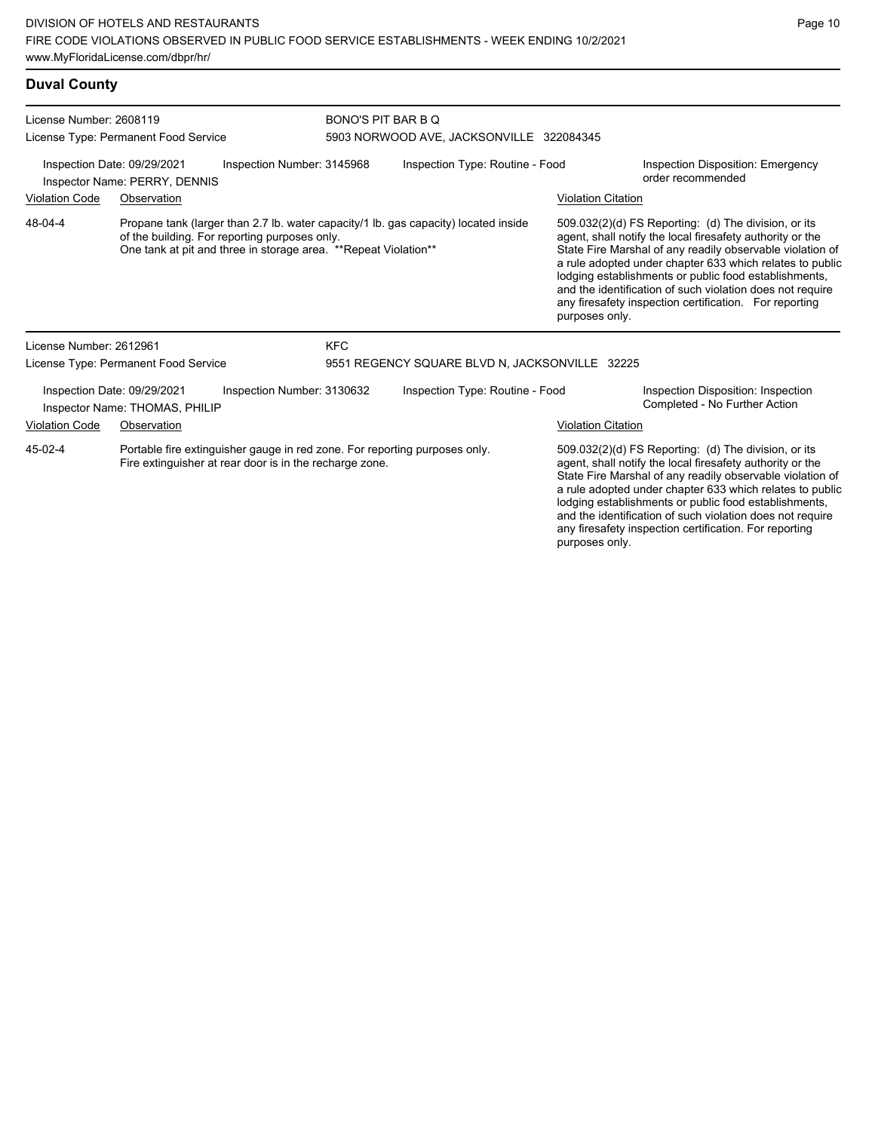| <b>Duval County</b>                                                                                                                                                                                                |                                                               |                                                                |                                 |                                                |                                                                                                                                                                                                                                                                                                                                                                                                                            |                                                                     |
|--------------------------------------------------------------------------------------------------------------------------------------------------------------------------------------------------------------------|---------------------------------------------------------------|----------------------------------------------------------------|---------------------------------|------------------------------------------------|----------------------------------------------------------------------------------------------------------------------------------------------------------------------------------------------------------------------------------------------------------------------------------------------------------------------------------------------------------------------------------------------------------------------------|---------------------------------------------------------------------|
| License Number: 2608119<br>License Type: Permanent Food Service                                                                                                                                                    |                                                               | BONO'S PIT BAR B Q<br>5903 NORWOOD AVE, JACKSONVILLE 322084345 |                                 |                                                |                                                                                                                                                                                                                                                                                                                                                                                                                            |                                                                     |
| Inspection Date: 09/29/2021<br>Inspection Number: 3145968<br>Inspector Name: PERRY, DENNIS                                                                                                                         |                                                               |                                                                | Inspection Type: Routine - Food |                                                |                                                                                                                                                                                                                                                                                                                                                                                                                            | <b>Inspection Disposition: Emergency</b><br>order recommended       |
| <b>Violation Code</b>                                                                                                                                                                                              | Observation                                                   |                                                                |                                 |                                                | <b>Violation Citation</b>                                                                                                                                                                                                                                                                                                                                                                                                  |                                                                     |
| 48-04-4<br>Propane tank (larger than 2.7 lb. water capacity/1 lb. gas capacity) located inside<br>of the building. For reporting purposes only.<br>One tank at pit and three in storage area. **Repeat Violation** |                                                               |                                                                |                                 | purposes only.                                 | 509.032(2)(d) FS Reporting: (d) The division, or its<br>agent, shall notify the local firesafety authority or the<br>State Fire Marshal of any readily observable violation of<br>a rule adopted under chapter 633 which relates to public<br>lodging establishments or public food establishments,<br>and the identification of such violation does not require<br>any firesafety inspection certification. For reporting |                                                                     |
| License Number: 2612961                                                                                                                                                                                            |                                                               |                                                                | <b>KFC</b>                      |                                                |                                                                                                                                                                                                                                                                                                                                                                                                                            |                                                                     |
|                                                                                                                                                                                                                    | License Type: Permanent Food Service                          |                                                                |                                 | 9551 REGENCY SQUARE BLVD N, JACKSONVILLE 32225 |                                                                                                                                                                                                                                                                                                                                                                                                                            |                                                                     |
|                                                                                                                                                                                                                    | Inspection Date: 09/29/2021<br>Inspector Name: THOMAS, PHILIP | Inspection Number: 3130632                                     |                                 | Inspection Type: Routine - Food                |                                                                                                                                                                                                                                                                                                                                                                                                                            | Inspection Disposition: Inspection<br>Completed - No Further Action |
| <b>Violation Code</b>                                                                                                                                                                                              | Observation                                                   |                                                                |                                 |                                                | <b>Violation Citation</b>                                                                                                                                                                                                                                                                                                                                                                                                  |                                                                     |
|                                                                                                                                                                                                                    |                                                               |                                                                |                                 |                                                |                                                                                                                                                                                                                                                                                                                                                                                                                            |                                                                     |

Portable fire extinguisher gauge in red zone. For reporting purposes only. Fire extinguisher at rear door is in the recharge zone. 45-02-4

509.032(2)(d) FS Reporting: (d) The division, or its agent, shall notify the local firesafety authority or the State Fire Marshal of any readily observable violation of a rule adopted under chapter 633 which relates to public lodging establishments or public food establishments, and the identification of such violation does not require any firesafety inspection certification. For reporting purposes only.

Page 10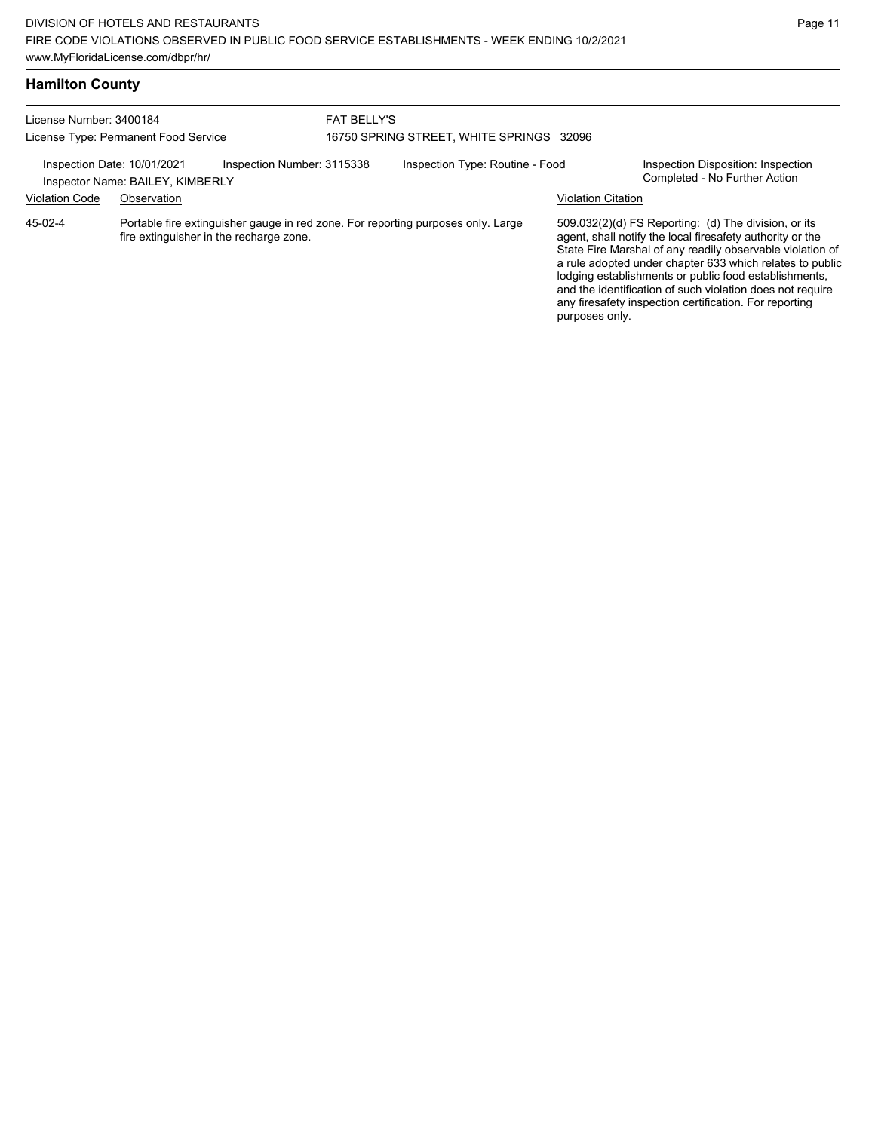| <b>Hamilton County</b>               |                                                                                                                             |                    |                                          |  |                           |                                                                                                                                                                                                                                                                                                                                                                                                                            |
|--------------------------------------|-----------------------------------------------------------------------------------------------------------------------------|--------------------|------------------------------------------|--|---------------------------|----------------------------------------------------------------------------------------------------------------------------------------------------------------------------------------------------------------------------------------------------------------------------------------------------------------------------------------------------------------------------------------------------------------------------|
| License Number: 3400184              |                                                                                                                             | <b>FAT BELLY'S</b> |                                          |  |                           |                                                                                                                                                                                                                                                                                                                                                                                                                            |
| License Type: Permanent Food Service |                                                                                                                             |                    | 16750 SPRING STREET, WHITE SPRINGS 32096 |  |                           |                                                                                                                                                                                                                                                                                                                                                                                                                            |
|                                      | Inspection Date: 10/01/2021<br>Inspection Number: 3115338<br>Inspector Name: BAILEY, KIMBERLY                               |                    | Inspection Type: Routine - Food          |  |                           | Inspection Disposition: Inspection<br>Completed - No Further Action                                                                                                                                                                                                                                                                                                                                                        |
| <b>Violation Code</b>                | Observation                                                                                                                 |                    |                                          |  | <b>Violation Citation</b> |                                                                                                                                                                                                                                                                                                                                                                                                                            |
| 45-02-4                              | Portable fire extinguisher gauge in red zone. For reporting purposes only. Large<br>fire extinguisher in the recharge zone. |                    |                                          |  |                           | 509.032(2)(d) FS Reporting: (d) The division, or its<br>agent, shall notify the local firesafety authority or the<br>State Fire Marshal of any readily observable violation of<br>a rule adopted under chapter 633 which relates to public<br>lodging establishments or public food establishments,<br>and the identification of such violation does not require<br>any firesafety inspection certification. For reporting |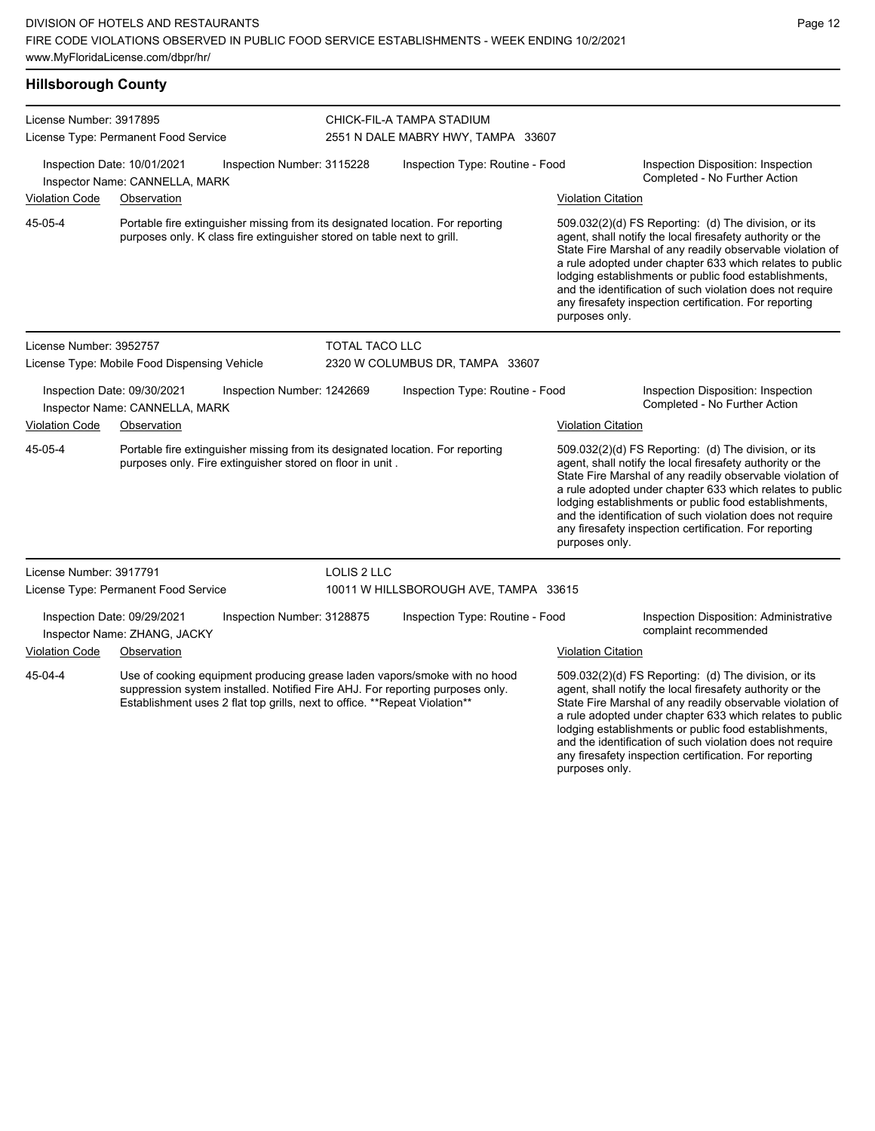| <b>Hillsborough County</b>                                                                                                                                                                                                                           |                                                               |                                                                         |                                                                 |                                                                                |                                                                     |                                                                                                                                                                                                                                                                                                                                                                                                                                              |  |
|------------------------------------------------------------------------------------------------------------------------------------------------------------------------------------------------------------------------------------------------------|---------------------------------------------------------------|-------------------------------------------------------------------------|-----------------------------------------------------------------|--------------------------------------------------------------------------------|---------------------------------------------------------------------|----------------------------------------------------------------------------------------------------------------------------------------------------------------------------------------------------------------------------------------------------------------------------------------------------------------------------------------------------------------------------------------------------------------------------------------------|--|
| License Number: 3917895<br>License Type: Permanent Food Service                                                                                                                                                                                      |                                                               |                                                                         | CHICK-FIL-A TAMPA STADIUM<br>2551 N DALE MABRY HWY, TAMPA 33607 |                                                                                |                                                                     |                                                                                                                                                                                                                                                                                                                                                                                                                                              |  |
|                                                                                                                                                                                                                                                      | Inspection Date: 10/01/2021<br>Inspector Name: CANNELLA, MARK | Inspection Number: 3115228                                              |                                                                 | Inspection Type: Routine - Food                                                |                                                                     | Inspection Disposition: Inspection<br>Completed - No Further Action                                                                                                                                                                                                                                                                                                                                                                          |  |
| <b>Violation Code</b>                                                                                                                                                                                                                                | Observation                                                   |                                                                         |                                                                 |                                                                                | <b>Violation Citation</b>                                           |                                                                                                                                                                                                                                                                                                                                                                                                                                              |  |
| 45-05-4                                                                                                                                                                                                                                              |                                                               | purposes only. K class fire extinguisher stored on table next to grill. |                                                                 | Portable fire extinguisher missing from its designated location. For reporting |                                                                     | 509.032(2)(d) FS Reporting: (d) The division, or its<br>agent, shall notify the local firesafety authority or the<br>State Fire Marshal of any readily observable violation of<br>a rule adopted under chapter 633 which relates to public<br>lodging establishments or public food establishments,<br>and the identification of such violation does not require<br>any firesafety inspection certification. For reporting<br>purposes only. |  |
| License Number: 3952757                                                                                                                                                                                                                              |                                                               |                                                                         | TOTAL TACO LLC                                                  |                                                                                |                                                                     |                                                                                                                                                                                                                                                                                                                                                                                                                                              |  |
| License Type: Mobile Food Dispensing Vehicle                                                                                                                                                                                                         |                                                               |                                                                         | 2320 W COLUMBUS DR, TAMPA 33607                                 |                                                                                |                                                                     |                                                                                                                                                                                                                                                                                                                                                                                                                                              |  |
| Inspection Date: 09/30/2021<br>Inspection Number: 1242669<br>Inspector Name: CANNELLA, MARK                                                                                                                                                          |                                                               |                                                                         | Inspection Type: Routine - Food                                 |                                                                                | Inspection Disposition: Inspection<br>Completed - No Further Action |                                                                                                                                                                                                                                                                                                                                                                                                                                              |  |
| <b>Violation Code</b><br>Observation                                                                                                                                                                                                                 |                                                               |                                                                         |                                                                 | <b>Violation Citation</b>                                                      |                                                                     |                                                                                                                                                                                                                                                                                                                                                                                                                                              |  |
| 45-05-4                                                                                                                                                                                                                                              |                                                               | purposes only. Fire extinguisher stored on floor in unit.               |                                                                 | Portable fire extinguisher missing from its designated location. For reporting | purposes only.                                                      | 509.032(2)(d) FS Reporting: (d) The division, or its<br>agent, shall notify the local firesafety authority or the<br>State Fire Marshal of any readily observable violation of<br>a rule adopted under chapter 633 which relates to public<br>lodging establishments or public food establishments,<br>and the identification of such violation does not require<br>any firesafety inspection certification. For reporting                   |  |
| License Number: 3917791                                                                                                                                                                                                                              |                                                               |                                                                         | LOLIS 2 LLC                                                     |                                                                                |                                                                     |                                                                                                                                                                                                                                                                                                                                                                                                                                              |  |
| License Type: Permanent Food Service                                                                                                                                                                                                                 |                                                               |                                                                         | 10011 W HILLSBOROUGH AVE, TAMPA 33615                           |                                                                                |                                                                     |                                                                                                                                                                                                                                                                                                                                                                                                                                              |  |
|                                                                                                                                                                                                                                                      | Inspection Date: 09/29/2021<br>Inspector Name: ZHANG, JACKY   | Inspection Number: 3128875                                              |                                                                 | Inspection Type: Routine - Food                                                |                                                                     | Inspection Disposition: Administrative<br>complaint recommended                                                                                                                                                                                                                                                                                                                                                                              |  |
| <b>Violation Code</b>                                                                                                                                                                                                                                | Observation                                                   |                                                                         |                                                                 |                                                                                | <b>Violation Citation</b>                                           |                                                                                                                                                                                                                                                                                                                                                                                                                                              |  |
| 45-04-4<br>Use of cooking equipment producing grease laden vapors/smoke with no hood<br>suppression system installed. Notified Fire AHJ. For reporting purposes only.<br>Establishment uses 2 flat top grills, next to office. ** Repeat Violation** |                                                               |                                                                         |                                                                 |                                                                                |                                                                     | 509.032(2)(d) FS Reporting: (d) The division, or its<br>agent, shall notify the local firesafety authority or the<br>State Fire Marshal of any readily observable violation of<br>a rule adopted under chapter 633 which relates to public                                                                                                                                                                                                   |  |

lodging establishments or public food establishments, and the identification of such violation does not require any firesafety inspection certification. For reporting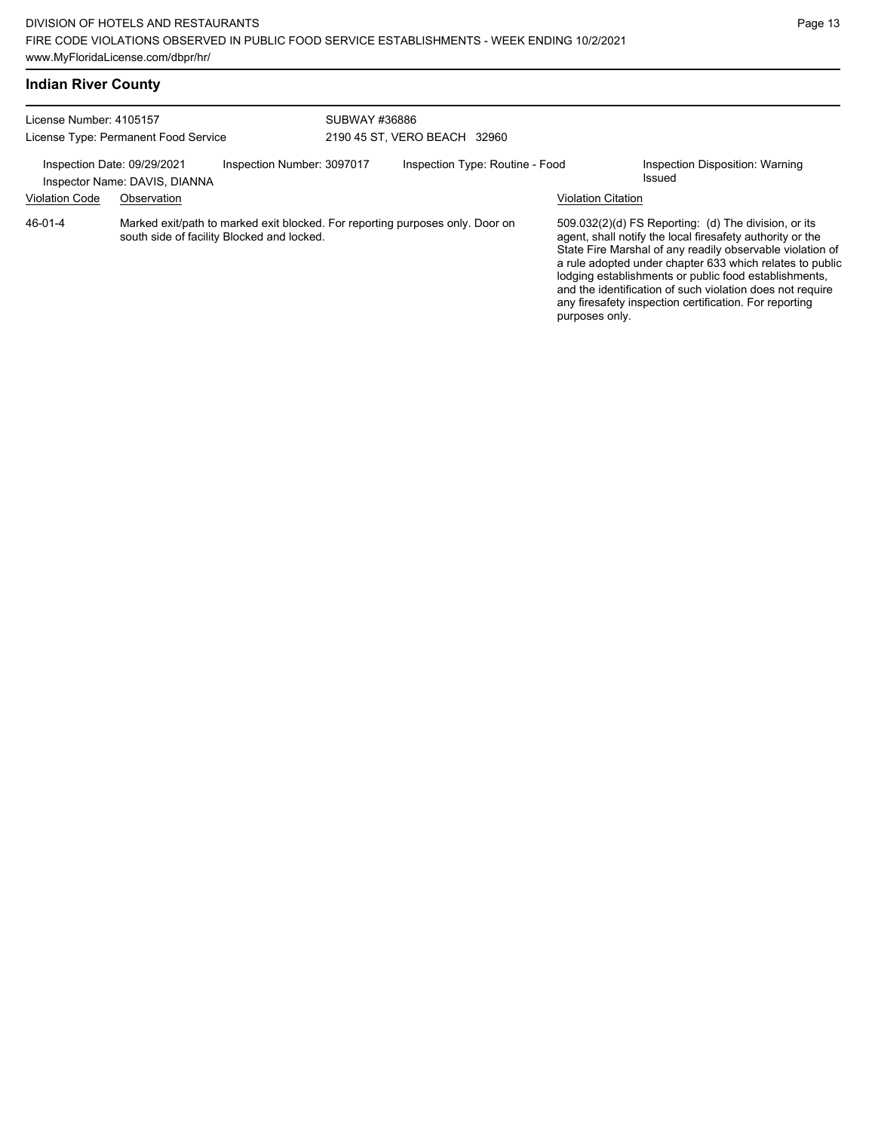| License Number: 4105157<br>License Type: Permanent Food Service |                               | SUBWAY #36886                              | 2190 45 ST, VERO BEACH 32960 |                                                                               |                           |                                                                                                                                                                                                                                                                                                                                                                                                                            |
|-----------------------------------------------------------------|-------------------------------|--------------------------------------------|------------------------------|-------------------------------------------------------------------------------|---------------------------|----------------------------------------------------------------------------------------------------------------------------------------------------------------------------------------------------------------------------------------------------------------------------------------------------------------------------------------------------------------------------------------------------------------------------|
| Inspection Date: 09/29/2021                                     | Inspector Name: DAVIS, DIANNA | Inspection Number: 3097017                 |                              | Inspection Type: Routine - Food                                               |                           | Inspection Disposition: Warning<br>Issued                                                                                                                                                                                                                                                                                                                                                                                  |
| <b>Violation Code</b>                                           | Observation                   |                                            |                              |                                                                               | <b>Violation Citation</b> |                                                                                                                                                                                                                                                                                                                                                                                                                            |
| 46-01-4                                                         |                               | south side of facility Blocked and locked. |                              | Marked exit/path to marked exit blocked. For reporting purposes only. Door on | purposes only.            | 509.032(2)(d) FS Reporting: (d) The division, or its<br>agent, shall notify the local firesafety authority or the<br>State Fire Marshal of any readily observable violation of<br>a rule adopted under chapter 633 which relates to public<br>lodging establishments or public food establishments,<br>and the identification of such violation does not require<br>any firesafety inspection certification. For reporting |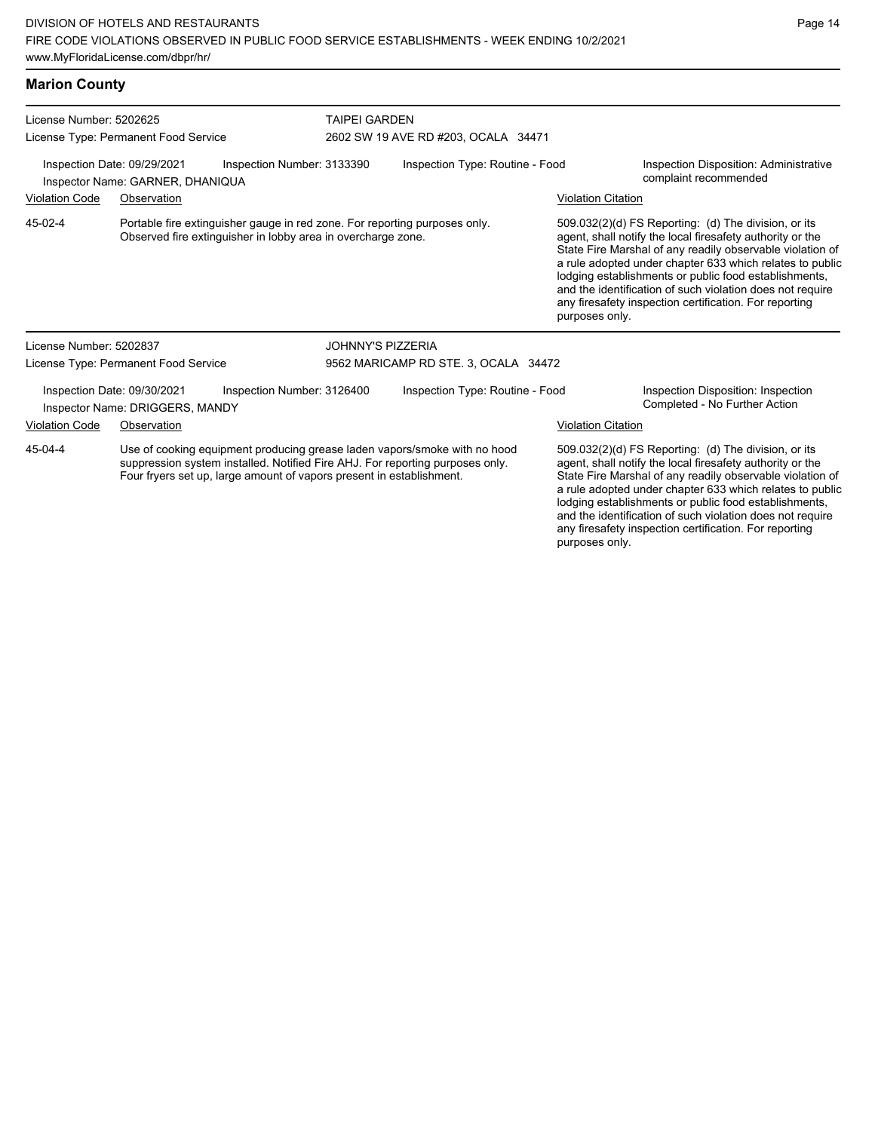| <b>Marion County</b>                                                                                                                                                                                                                          |                                                                |                                                                                                                                            |                                      |                                     |                                                                                                                                                                                |                                                                                                                                                                                                                                                                                                                                                                                                                                              |  |  |
|-----------------------------------------------------------------------------------------------------------------------------------------------------------------------------------------------------------------------------------------------|----------------------------------------------------------------|--------------------------------------------------------------------------------------------------------------------------------------------|--------------------------------------|-------------------------------------|--------------------------------------------------------------------------------------------------------------------------------------------------------------------------------|----------------------------------------------------------------------------------------------------------------------------------------------------------------------------------------------------------------------------------------------------------------------------------------------------------------------------------------------------------------------------------------------------------------------------------------------|--|--|
| License Number: 5202625                                                                                                                                                                                                                       | License Type: Permanent Food Service                           |                                                                                                                                            | <b>TAIPEI GARDEN</b>                 | 2602 SW 19 AVE RD #203, OCALA 34471 |                                                                                                                                                                                |                                                                                                                                                                                                                                                                                                                                                                                                                                              |  |  |
| Inspection Date: 09/29/2021<br>Inspection Number: 3133390<br>Inspector Name: GARNER, DHANIQUA                                                                                                                                                 |                                                                |                                                                                                                                            | Inspection Type: Routine - Food      |                                     | Inspection Disposition: Administrative<br>complaint recommended                                                                                                                |                                                                                                                                                                                                                                                                                                                                                                                                                                              |  |  |
| <b>Violation Code</b>                                                                                                                                                                                                                         | Observation                                                    |                                                                                                                                            |                                      |                                     | <b>Violation Citation</b>                                                                                                                                                      |                                                                                                                                                                                                                                                                                                                                                                                                                                              |  |  |
| 45-02-4                                                                                                                                                                                                                                       |                                                                | Portable fire extinguisher gauge in red zone. For reporting purposes only.<br>Observed fire extinguisher in lobby area in overcharge zone. |                                      |                                     |                                                                                                                                                                                | 509.032(2)(d) FS Reporting: (d) The division, or its<br>agent, shall notify the local firesafety authority or the<br>State Fire Marshal of any readily observable violation of<br>a rule adopted under chapter 633 which relates to public<br>lodging establishments or public food establishments,<br>and the identification of such violation does not require<br>any firesafety inspection certification. For reporting<br>purposes only. |  |  |
| License Number: 5202837                                                                                                                                                                                                                       |                                                                |                                                                                                                                            | <b>JOHNNY'S PIZZERIA</b>             |                                     |                                                                                                                                                                                |                                                                                                                                                                                                                                                                                                                                                                                                                                              |  |  |
|                                                                                                                                                                                                                                               | License Type: Permanent Food Service                           |                                                                                                                                            | 9562 MARICAMP RD STE. 3, OCALA 34472 |                                     |                                                                                                                                                                                |                                                                                                                                                                                                                                                                                                                                                                                                                                              |  |  |
|                                                                                                                                                                                                                                               | Inspection Date: 09/30/2021<br>Inspector Name: DRIGGERS, MANDY | Inspection Number: 3126400                                                                                                                 |                                      | Inspection Type: Routine - Food     |                                                                                                                                                                                | Inspection Disposition: Inspection<br>Completed - No Further Action                                                                                                                                                                                                                                                                                                                                                                          |  |  |
| <b>Violation Code</b>                                                                                                                                                                                                                         | Observation                                                    |                                                                                                                                            |                                      |                                     | <b>Violation Citation</b>                                                                                                                                                      |                                                                                                                                                                                                                                                                                                                                                                                                                                              |  |  |
| 45-04-4<br>Use of cooking equipment producing grease laden vapors/smoke with no hood<br>suppression system installed. Notified Fire AHJ. For reporting purposes only.<br>Four fryers set up, large amount of vapors present in establishment. |                                                                |                                                                                                                                            |                                      |                                     | 509.032(2)(d) FS Reporting: (d) The division, or its<br>agent, shall notify the local firesafety authority or the<br>State Fire Marshal of any readily observable violation of |                                                                                                                                                                                                                                                                                                                                                                                                                                              |  |  |

State Fire Marshal of any readily observable violation of a rule adopted under chapter 633 which relates to public lodging establishments or public food establishments, and the identification of such violation does not require any firesafety inspection certification. For reporting purposes only.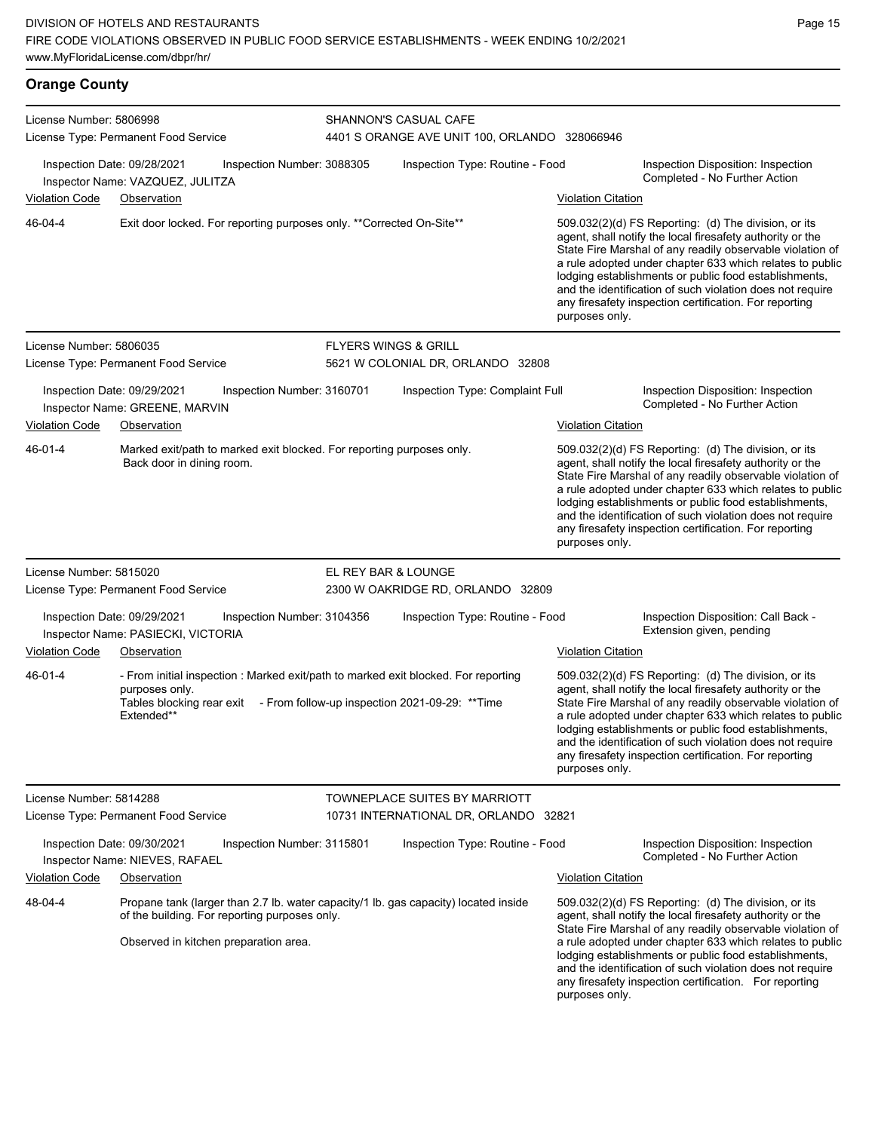# **Orange County**

| License Number: 5806998 |                                                                                                                                                                                                 |                            | <b>SHANNON'S CASUAL CAFE</b>                  |                           |                                                                                                                                                                                                                                                                                                                                                                                                                              |  |  |  |
|-------------------------|-------------------------------------------------------------------------------------------------------------------------------------------------------------------------------------------------|----------------------------|-----------------------------------------------|---------------------------|------------------------------------------------------------------------------------------------------------------------------------------------------------------------------------------------------------------------------------------------------------------------------------------------------------------------------------------------------------------------------------------------------------------------------|--|--|--|
|                         | License Type: Permanent Food Service                                                                                                                                                            |                            | 4401 S ORANGE AVE UNIT 100, ORLANDO 328066946 |                           |                                                                                                                                                                                                                                                                                                                                                                                                                              |  |  |  |
|                         | Inspection Date: 09/28/2021<br>Inspector Name: VAZQUEZ, JULITZA                                                                                                                                 | Inspection Number: 3088305 | Inspection Type: Routine - Food               |                           | Inspection Disposition: Inspection<br>Completed - No Further Action                                                                                                                                                                                                                                                                                                                                                          |  |  |  |
| <b>Violation Code</b>   | Observation                                                                                                                                                                                     |                            |                                               | <b>Violation Citation</b> |                                                                                                                                                                                                                                                                                                                                                                                                                              |  |  |  |
| 46-04-4                 | Exit door locked. For reporting purposes only. **Corrected On-Site**                                                                                                                            |                            |                                               | purposes only.            | $509.032(2)(d)$ FS Reporting: (d) The division, or its<br>agent, shall notify the local firesafety authority or the<br>State Fire Marshal of any readily observable violation of<br>a rule adopted under chapter 633 which relates to public<br>lodging establishments or public food establishments,<br>and the identification of such violation does not require<br>any firesafety inspection certification. For reporting |  |  |  |
| License Number: 5806035 |                                                                                                                                                                                                 |                            | <b>FLYERS WINGS &amp; GRILL</b>               |                           |                                                                                                                                                                                                                                                                                                                                                                                                                              |  |  |  |
|                         | License Type: Permanent Food Service                                                                                                                                                            |                            | 5621 W COLONIAL DR, ORLANDO 32808             |                           |                                                                                                                                                                                                                                                                                                                                                                                                                              |  |  |  |
|                         | Inspection Date: 09/29/2021<br>Inspector Name: GREENE, MARVIN                                                                                                                                   | Inspection Number: 3160701 | Inspection Type: Complaint Full               |                           | Inspection Disposition: Inspection<br>Completed - No Further Action                                                                                                                                                                                                                                                                                                                                                          |  |  |  |
| <b>Violation Code</b>   | Observation                                                                                                                                                                                     |                            |                                               | <b>Violation Citation</b> |                                                                                                                                                                                                                                                                                                                                                                                                                              |  |  |  |
| 46-01-4                 | Marked exit/path to marked exit blocked. For reporting purposes only.<br>Back door in dining room.                                                                                              |                            |                                               | purposes only.            | 509.032(2)(d) FS Reporting: (d) The division, or its<br>agent, shall notify the local firesafety authority or the<br>State Fire Marshal of any readily observable violation of<br>a rule adopted under chapter 633 which relates to public<br>lodging establishments or public food establishments,<br>and the identification of such violation does not require<br>any firesafety inspection certification. For reporting   |  |  |  |
| License Number: 5815020 |                                                                                                                                                                                                 |                            | EL REY BAR & LOUNGE                           |                           |                                                                                                                                                                                                                                                                                                                                                                                                                              |  |  |  |
|                         | License Type: Permanent Food Service                                                                                                                                                            |                            | 2300 W OAKRIDGE RD, ORLANDO 32809             |                           |                                                                                                                                                                                                                                                                                                                                                                                                                              |  |  |  |
|                         | Inspection Date: 09/29/2021<br>Inspector Name: PASIECKI, VICTORIA                                                                                                                               | Inspection Number: 3104356 | Inspection Type: Routine - Food               |                           | Inspection Disposition: Call Back -<br>Extension given, pending                                                                                                                                                                                                                                                                                                                                                              |  |  |  |
| <b>Violation Code</b>   | Observation                                                                                                                                                                                     |                            |                                               | <b>Violation Citation</b> |                                                                                                                                                                                                                                                                                                                                                                                                                              |  |  |  |
| 46-01-4                 | - From initial inspection : Marked exit/path to marked exit blocked. For reporting<br>purposes only.<br>Tables blocking rear exit - From follow-up inspection 2021-09-29: ** Time<br>Extended** |                            |                                               | purposes only.            | 509.032(2)(d) FS Reporting: (d) The division, or its<br>agent, shall notify the local firesafety authority or the<br>State Fire Marshal of any readily observable violation of<br>a rule adopted under chapter 633 which relates to public<br>lodging establishments or public food establishments,<br>and the identification of such violation does not require<br>any firesafety inspection certification. For reporting   |  |  |  |
| License Number: 5814288 |                                                                                                                                                                                                 |                            | TOWNEPLACE SUITES BY MARRIOTT                 |                           |                                                                                                                                                                                                                                                                                                                                                                                                                              |  |  |  |
|                         | License Type: Permanent Food Service                                                                                                                                                            |                            | 10731 INTERNATIONAL DR, ORLANDO 32821         |                           |                                                                                                                                                                                                                                                                                                                                                                                                                              |  |  |  |
|                         | Inspection Date: 09/30/2021<br>Inspector Name: NIEVES, RAFAEL                                                                                                                                   | Inspection Number: 3115801 | Inspection Type: Routine - Food               |                           | Inspection Disposition: Inspection<br>Completed - No Further Action                                                                                                                                                                                                                                                                                                                                                          |  |  |  |
| Violation Code          | Observation                                                                                                                                                                                     |                            |                                               | <b>Violation Citation</b> |                                                                                                                                                                                                                                                                                                                                                                                                                              |  |  |  |
| 48-04-4                 | Propane tank (larger than 2.7 lb. water capacity/1 lb. gas capacity) located inside<br>of the building. For reporting purposes only.<br>Observed in kitchen preparation area.                   |                            |                                               | purposes only.            | 509.032(2)(d) FS Reporting: (d) The division, or its<br>agent, shall notify the local firesafety authority or the<br>State Fire Marshal of any readily observable violation of<br>a rule adopted under chapter 633 which relates to public<br>lodging establishments or public food establishments,<br>and the identification of such violation does not require<br>any firesafety inspection certification. For reporting   |  |  |  |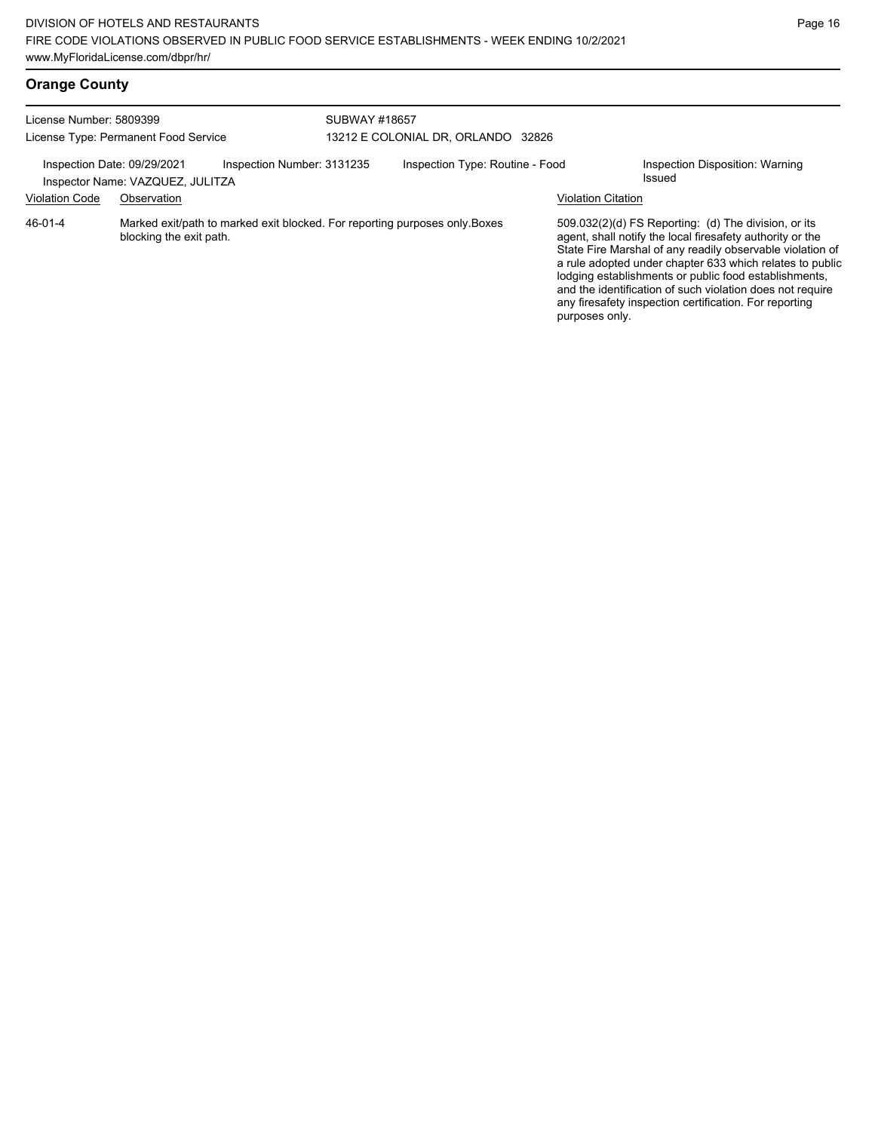## **Orange County**

| License Number: 5809399     | License Type: Permanent Food Service                                                                  |                            | SUBWAY #18657<br>13212 E COLONIAL DR, ORLANDO 32826 |                           |                                                                                                                                                                                                                                                                                                                                                                                                                            |  |
|-----------------------------|-------------------------------------------------------------------------------------------------------|----------------------------|-----------------------------------------------------|---------------------------|----------------------------------------------------------------------------------------------------------------------------------------------------------------------------------------------------------------------------------------------------------------------------------------------------------------------------------------------------------------------------------------------------------------------------|--|
| Inspection Date: 09/29/2021 | Inspector Name: VAZQUEZ, JULITZA                                                                      | Inspection Number: 3131235 | Inspection Type: Routine - Food                     |                           | Inspection Disposition: Warning<br>Issued                                                                                                                                                                                                                                                                                                                                                                                  |  |
| <b>Violation Code</b>       | Observation                                                                                           |                            |                                                     | <b>Violation Citation</b> |                                                                                                                                                                                                                                                                                                                                                                                                                            |  |
| 46-01-4                     | Marked exit/path to marked exit blocked. For reporting purposes only Boxes<br>blocking the exit path. |                            |                                                     | purposes only.            | 509.032(2)(d) FS Reporting: (d) The division, or its<br>agent, shall notify the local firesafety authority or the<br>State Fire Marshal of any readily observable violation of<br>a rule adopted under chapter 633 which relates to public<br>lodging establishments or public food establishments,<br>and the identification of such violation does not require<br>any firesafety inspection certification. For reporting |  |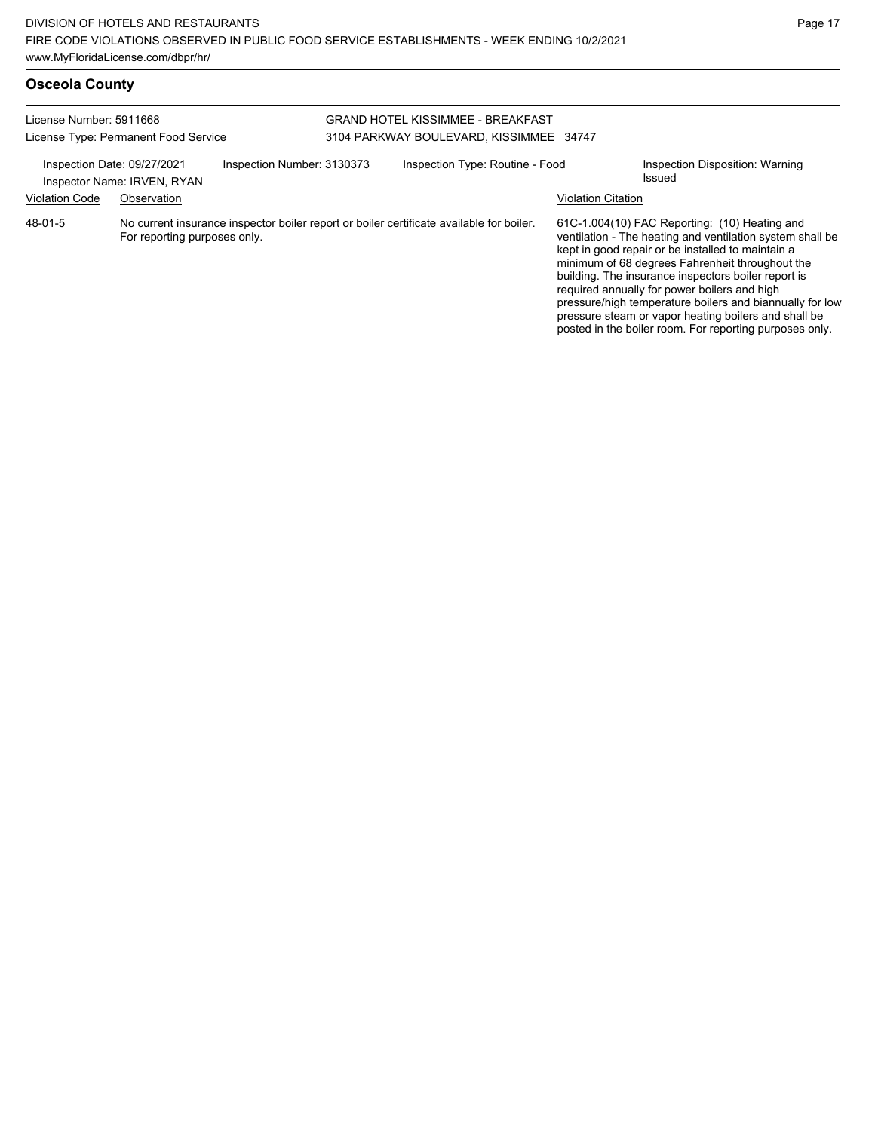posted in the boiler room. For reporting purposes only.

| <b>Osceola County</b>                                                                                                                                                                               |                              |                                                                              |  |                                                                                          |                                           |                                                                                                                                                                                                                                                                                                                                                                                                                                               |
|-----------------------------------------------------------------------------------------------------------------------------------------------------------------------------------------------------|------------------------------|------------------------------------------------------------------------------|--|------------------------------------------------------------------------------------------|-------------------------------------------|-----------------------------------------------------------------------------------------------------------------------------------------------------------------------------------------------------------------------------------------------------------------------------------------------------------------------------------------------------------------------------------------------------------------------------------------------|
| License Number: 5911668<br>License Type: Permanent Food Service<br>Inspection Number: 3130373<br>Inspection Date: 09/27/2021<br>Inspector Name: IRVEN, RYAN<br><b>Violation Code</b><br>Observation |                              | GRAND HOTEL KISSIMMEE - BREAKFAST<br>3104 PARKWAY BOULEVARD, KISSIMMEE 34747 |  |                                                                                          |                                           |                                                                                                                                                                                                                                                                                                                                                                                                                                               |
|                                                                                                                                                                                                     |                              | Inspection Type: Routine - Food<br><b>Violation Citation</b>                 |  |                                                                                          | Inspection Disposition: Warning<br>Issued |                                                                                                                                                                                                                                                                                                                                                                                                                                               |
| 48-01-5                                                                                                                                                                                             | For reporting purposes only. |                                                                              |  | No current insurance inspector boiler report or boiler certificate available for boiler. |                                           | 61C-1.004(10) FAC Reporting: (10) Heating and<br>ventilation - The heating and ventilation system shall be<br>kept in good repair or be installed to maintain a<br>minimum of 68 degrees Fahrenheit throughout the<br>building. The insurance inspectors boiler report is<br>required annually for power boilers and high<br>pressure/high temperature boilers and biannually for low<br>pressure steam or vapor heating boilers and shall be |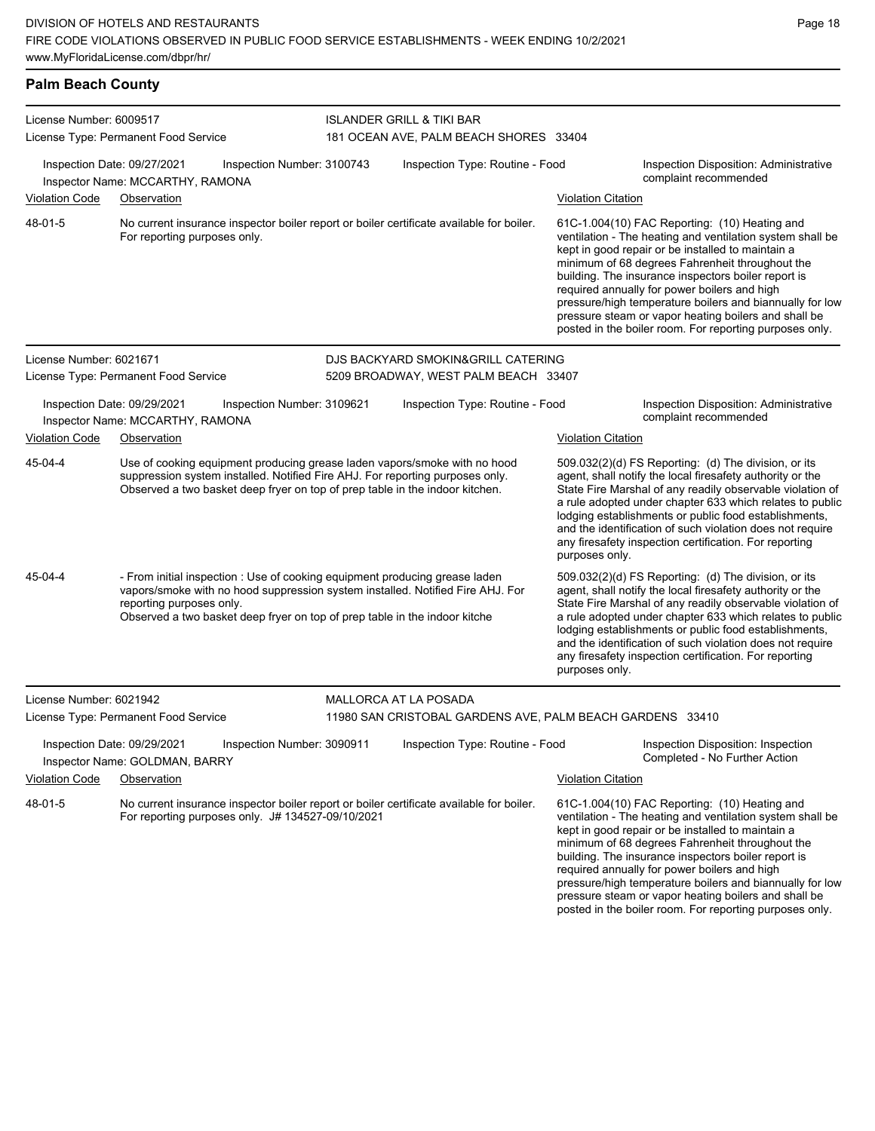## **Palm Beach County**

| License Number: 6009517 |                                                                                                                                                                                                                                                                         |                            | <b>ISLANDER GRILL &amp; TIKI BAR</b>                      |                           |                                                                                                                                                                                                                                                                                                                                                                                                                                                                                                          |  |  |  |
|-------------------------|-------------------------------------------------------------------------------------------------------------------------------------------------------------------------------------------------------------------------------------------------------------------------|----------------------------|-----------------------------------------------------------|---------------------------|----------------------------------------------------------------------------------------------------------------------------------------------------------------------------------------------------------------------------------------------------------------------------------------------------------------------------------------------------------------------------------------------------------------------------------------------------------------------------------------------------------|--|--|--|
|                         | License Type: Permanent Food Service                                                                                                                                                                                                                                    |                            | 181 OCEAN AVE, PALM BEACH SHORES 33404                    |                           |                                                                                                                                                                                                                                                                                                                                                                                                                                                                                                          |  |  |  |
|                         | Inspection Date: 09/27/2021<br>Inspector Name: MCCARTHY, RAMONA                                                                                                                                                                                                         | Inspection Number: 3100743 | Inspection Type: Routine - Food                           |                           | Inspection Disposition: Administrative<br>complaint recommended                                                                                                                                                                                                                                                                                                                                                                                                                                          |  |  |  |
| Violation Code          | Observation                                                                                                                                                                                                                                                             |                            |                                                           | <b>Violation Citation</b> |                                                                                                                                                                                                                                                                                                                                                                                                                                                                                                          |  |  |  |
| 48-01-5                 | No current insurance inspector boiler report or boiler certificate available for boiler.<br>For reporting purposes only.                                                                                                                                                |                            |                                                           |                           | 61C-1.004(10) FAC Reporting: (10) Heating and<br>ventilation - The heating and ventilation system shall be<br>kept in good repair or be installed to maintain a<br>minimum of 68 degrees Fahrenheit throughout the<br>building. The insurance inspectors boiler report is<br>required annually for power boilers and high<br>pressure/high temperature boilers and biannually for low<br>pressure steam or vapor heating boilers and shall be<br>posted in the boiler room. For reporting purposes only. |  |  |  |
| License Number: 6021671 |                                                                                                                                                                                                                                                                         |                            | DJS BACKYARD SMOKIN&GRILL CATERING                        |                           |                                                                                                                                                                                                                                                                                                                                                                                                                                                                                                          |  |  |  |
|                         | License Type: Permanent Food Service                                                                                                                                                                                                                                    |                            | 5209 BROADWAY, WEST PALM BEACH 33407                      |                           |                                                                                                                                                                                                                                                                                                                                                                                                                                                                                                          |  |  |  |
|                         | Inspection Date: 09/29/2021<br>Inspector Name: MCCARTHY, RAMONA                                                                                                                                                                                                         | Inspection Number: 3109621 | Inspection Type: Routine - Food                           |                           | Inspection Disposition: Administrative<br>complaint recommended                                                                                                                                                                                                                                                                                                                                                                                                                                          |  |  |  |
| <b>Violation Code</b>   | Observation                                                                                                                                                                                                                                                             |                            |                                                           | <b>Violation Citation</b> |                                                                                                                                                                                                                                                                                                                                                                                                                                                                                                          |  |  |  |
| 45-04-4                 | Use of cooking equipment producing grease laden vapors/smoke with no hood<br>suppression system installed. Notified Fire AHJ. For reporting purposes only.<br>Observed a two basket deep fryer on top of prep table in the indoor kitchen.                              |                            |                                                           | purposes only.            | 509.032(2)(d) FS Reporting: (d) The division, or its<br>agent, shall notify the local firesafety authority or the<br>State Fire Marshal of any readily observable violation of<br>a rule adopted under chapter 633 which relates to public<br>lodging establishments or public food establishments,<br>and the identification of such violation does not require<br>any firesafety inspection certification. For reporting                                                                               |  |  |  |
| 45-04-4                 | - From initial inspection : Use of cooking equipment producing grease laden<br>vapors/smoke with no hood suppression system installed. Notified Fire AHJ. For<br>reporting purposes only.<br>Observed a two basket deep fryer on top of prep table in the indoor kitche |                            |                                                           | purposes only.            | 509.032(2)(d) FS Reporting: (d) The division, or its<br>agent, shall notify the local firesafety authority or the<br>State Fire Marshal of any readily observable violation of<br>a rule adopted under chapter 633 which relates to public<br>lodging establishments or public food establishments,<br>and the identification of such violation does not require<br>any firesafety inspection certification. For reporting                                                                               |  |  |  |
| License Number: 6021942 |                                                                                                                                                                                                                                                                         |                            | <b>MALLORCA AT LA POSADA</b>                              |                           |                                                                                                                                                                                                                                                                                                                                                                                                                                                                                                          |  |  |  |
|                         | License Type: Permanent Food Service                                                                                                                                                                                                                                    |                            | 11980 SAN CRISTOBAL GARDENS AVE, PALM BEACH GARDENS 33410 |                           |                                                                                                                                                                                                                                                                                                                                                                                                                                                                                                          |  |  |  |
|                         | Inspection Date: 09/29/2021<br>Inspector Name: GOLDMAN, BARRY                                                                                                                                                                                                           | Inspection Number: 3090911 | Inspection Type: Routine - Food                           |                           | Inspection Disposition: Inspection<br>Completed - No Further Action                                                                                                                                                                                                                                                                                                                                                                                                                                      |  |  |  |
| Violation Code          | Observation                                                                                                                                                                                                                                                             |                            |                                                           | <b>Violation Citation</b> |                                                                                                                                                                                                                                                                                                                                                                                                                                                                                                          |  |  |  |
| 48-01-5                 | No current insurance inspector boiler report or boiler certificate available for boiler.<br>For reporting purposes only. J# 134527-09/10/2021                                                                                                                           |                            |                                                           |                           | 61C-1.004(10) FAC Reporting: (10) Heating and<br>ventilation - The heating and ventilation system shall be<br>kept in good repair or be installed to maintain a<br>minimum of 68 degrees Fahrenheit throughout the<br>building. The insurance inspectors boiler report is<br>required annually for power boilers and high<br>pressure/high temperature boilers and biannually for low<br>pressure steam or vapor heating boilers and shall be<br>posted in the boiler room. For reporting purposes only. |  |  |  |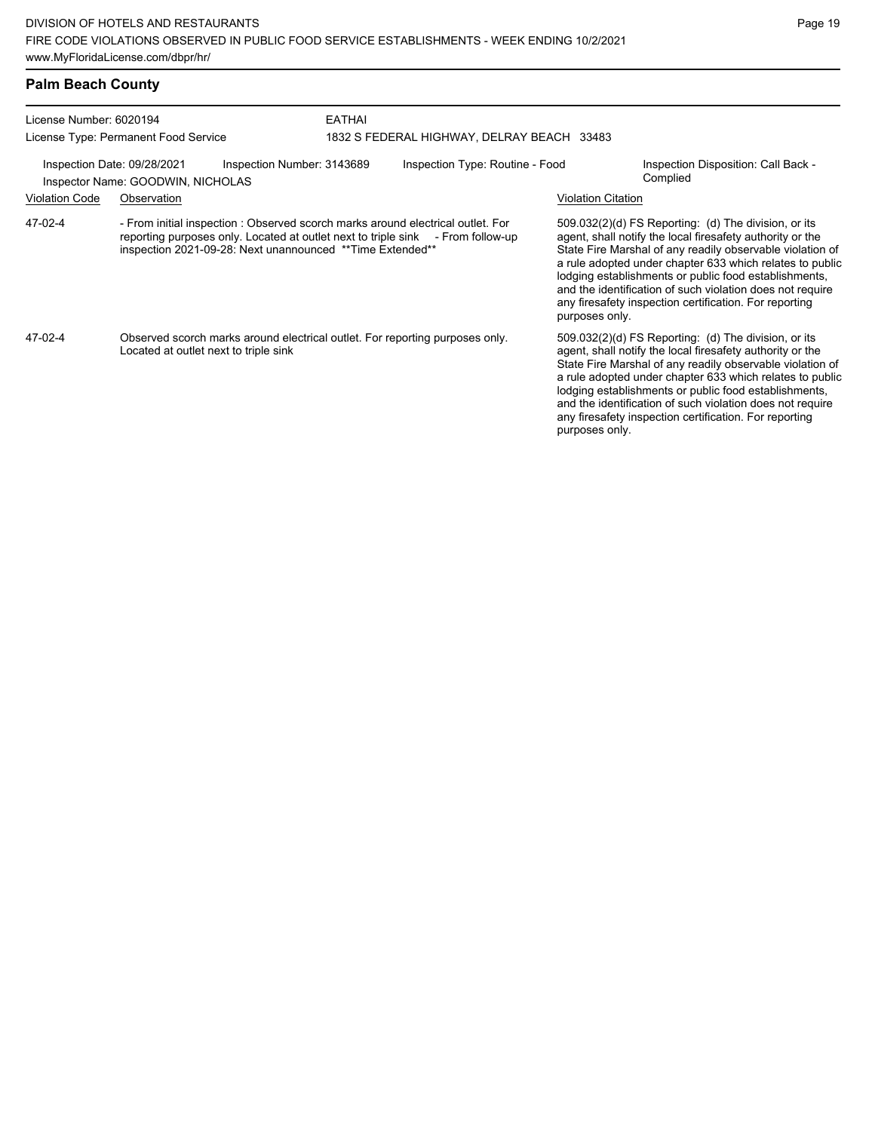| License Number: 6020194                                                                        |                                                                                                                                                                                                                                  | <b>EATHAI</b> |                                            |                                                                                                                                                                                                                                                                                                                                                                                                                                                |                                                                                                                                                                                                                                                                                                                                                                                                                            |  |
|------------------------------------------------------------------------------------------------|----------------------------------------------------------------------------------------------------------------------------------------------------------------------------------------------------------------------------------|---------------|--------------------------------------------|------------------------------------------------------------------------------------------------------------------------------------------------------------------------------------------------------------------------------------------------------------------------------------------------------------------------------------------------------------------------------------------------------------------------------------------------|----------------------------------------------------------------------------------------------------------------------------------------------------------------------------------------------------------------------------------------------------------------------------------------------------------------------------------------------------------------------------------------------------------------------------|--|
|                                                                                                | License Type: Permanent Food Service                                                                                                                                                                                             |               | 1832 S FEDERAL HIGHWAY, DELRAY BEACH 33483 |                                                                                                                                                                                                                                                                                                                                                                                                                                                |                                                                                                                                                                                                                                                                                                                                                                                                                            |  |
| Inspection Date: 09/28/2021<br>Inspection Number: 3143689<br>Inspector Name: GOODWIN, NICHOLAS |                                                                                                                                                                                                                                  |               | Inspection Type: Routine - Food            |                                                                                                                                                                                                                                                                                                                                                                                                                                                | Inspection Disposition: Call Back -<br>Complied                                                                                                                                                                                                                                                                                                                                                                            |  |
| <b>Violation Code</b>                                                                          | Observation                                                                                                                                                                                                                      |               |                                            | <b>Violation Citation</b>                                                                                                                                                                                                                                                                                                                                                                                                                      |                                                                                                                                                                                                                                                                                                                                                                                                                            |  |
| 47-02-4                                                                                        | - From initial inspection : Observed scorch marks around electrical outlet. For<br>reporting purposes only. Located at outlet next to triple sink - From follow-up<br>inspection 2021-09-28: Next unannounced ** Time Extended** |               |                                            | $509.032(2)(d)$ FS Reporting: (d) The division, or its<br>agent, shall notify the local firesafety authority or the<br>State Fire Marshal of any readily observable violation of<br>a rule adopted under chapter 633 which relates to public<br>lodging establishments or public food establishments,<br>and the identification of such violation does not require<br>any firesafety inspection certification. For reporting<br>purposes only. |                                                                                                                                                                                                                                                                                                                                                                                                                            |  |
| 47-02-4                                                                                        | Observed scorch marks around electrical outlet. For reporting purposes only.<br>Located at outlet next to triple sink                                                                                                            |               |                                            | purposes only.                                                                                                                                                                                                                                                                                                                                                                                                                                 | 509.032(2)(d) FS Reporting: (d) The division, or its<br>agent, shall notify the local firesafety authority or the<br>State Fire Marshal of any readily observable violation of<br>a rule adopted under chapter 633 which relates to public<br>lodging establishments or public food establishments,<br>and the identification of such violation does not require<br>any firesafety inspection certification. For reporting |  |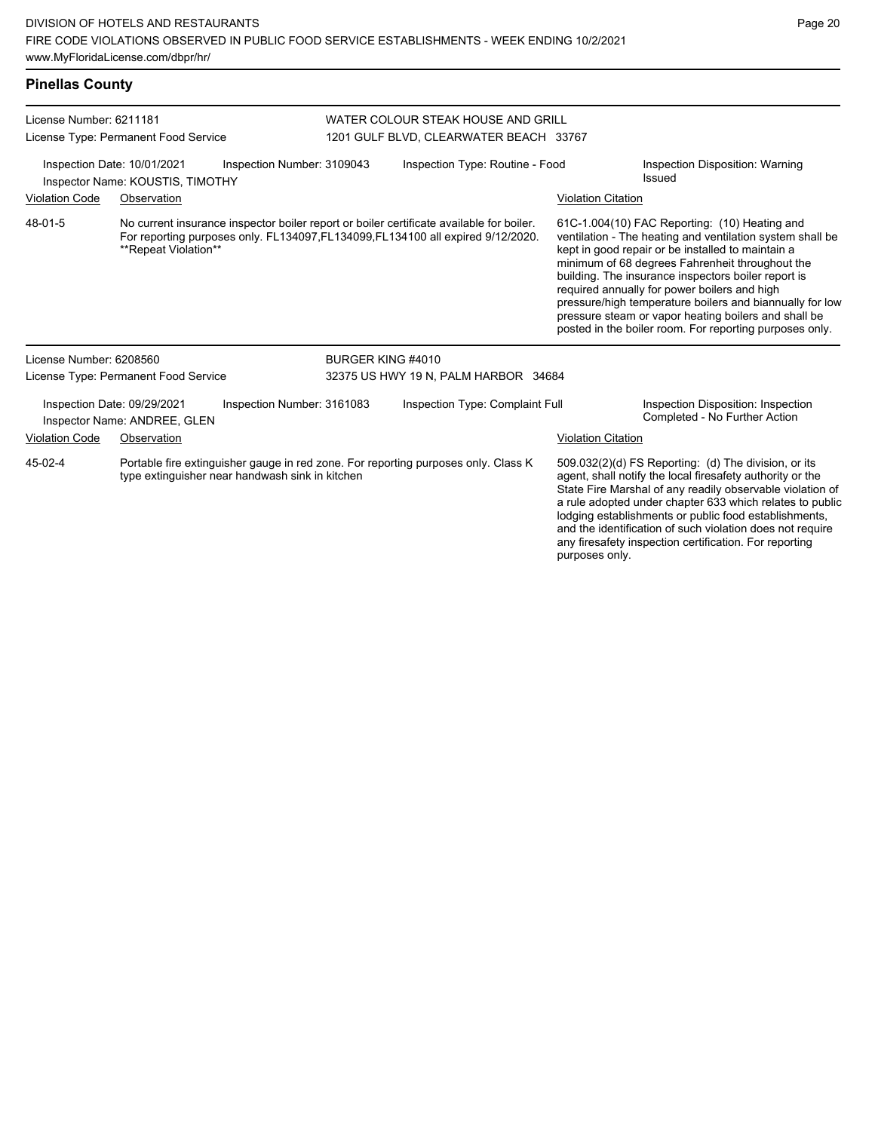| <b>Pinellas County</b>                                                                                                                           |                                                                 |                                                                                                                                                                              |                                                                              |                           |                                                                                                                                                                                                                                                                                                                                                                                                                                                                                                          |
|--------------------------------------------------------------------------------------------------------------------------------------------------|-----------------------------------------------------------------|------------------------------------------------------------------------------------------------------------------------------------------------------------------------------|------------------------------------------------------------------------------|---------------------------|----------------------------------------------------------------------------------------------------------------------------------------------------------------------------------------------------------------------------------------------------------------------------------------------------------------------------------------------------------------------------------------------------------------------------------------------------------------------------------------------------------|
| License Number: 6211181                                                                                                                          | License Type: Permanent Food Service                            |                                                                                                                                                                              | WATER COLOUR STEAK HOUSE AND GRILL<br>1201 GULF BLVD, CLEARWATER BEACH 33767 |                           |                                                                                                                                                                                                                                                                                                                                                                                                                                                                                                          |
|                                                                                                                                                  | Inspection Date: 10/01/2021<br>Inspector Name: KOUSTIS, TIMOTHY | Inspection Number: 3109043                                                                                                                                                   | Inspection Type: Routine - Food                                              |                           | Inspection Disposition: Warning<br>Issued                                                                                                                                                                                                                                                                                                                                                                                                                                                                |
| <b>Violation Code</b>                                                                                                                            | Observation                                                     |                                                                                                                                                                              |                                                                              | <b>Violation Citation</b> |                                                                                                                                                                                                                                                                                                                                                                                                                                                                                                          |
| 48-01-5                                                                                                                                          | **Repeat Violation**                                            | No current insurance inspector boiler report or boiler certificate available for boiler.<br>For reporting purposes only. FL134097, FL134099, FL134100 all expired 9/12/2020. |                                                                              |                           | 61C-1.004(10) FAC Reporting: (10) Heating and<br>ventilation - The heating and ventilation system shall be<br>kept in good repair or be installed to maintain a<br>minimum of 68 degrees Fahrenheit throughout the<br>building. The insurance inspectors boiler report is<br>required annually for power boilers and high<br>pressure/high temperature boilers and biannually for low<br>pressure steam or vapor heating boilers and shall be<br>posted in the boiler room. For reporting purposes only. |
| License Number: 6208560                                                                                                                          |                                                                 | BURGER KING #4010                                                                                                                                                            |                                                                              |                           |                                                                                                                                                                                                                                                                                                                                                                                                                                                                                                          |
|                                                                                                                                                  | License Type: Permanent Food Service                            |                                                                                                                                                                              | 32375 US HWY 19 N, PALM HARBOR 34684                                         |                           |                                                                                                                                                                                                                                                                                                                                                                                                                                                                                                          |
|                                                                                                                                                  | Inspection Date: 09/29/2021<br>Inspector Name: ANDREE, GLEN     | Inspection Number: 3161083                                                                                                                                                   | Inspection Type: Complaint Full                                              |                           | Inspection Disposition: Inspection<br>Completed - No Further Action                                                                                                                                                                                                                                                                                                                                                                                                                                      |
| <b>Violation Code</b>                                                                                                                            | Observation                                                     |                                                                                                                                                                              |                                                                              | <b>Violation Citation</b> |                                                                                                                                                                                                                                                                                                                                                                                                                                                                                                          |
| 45-02-4<br>Portable fire extinguisher gauge in red zone. For reporting purposes only. Class K<br>type extinguisher near handwash sink in kitchen |                                                                 |                                                                                                                                                                              |                                                                              |                           | 509.032(2)(d) FS Reporting: (d) The division, or its<br>agent, shall notify the local firesafety authority or the<br>State Fire Marshal of any readily observable violation of<br>a rule adopted under chapter 633 which relates to public                                                                                                                                                                                                                                                               |

lodging establishments or public food establishments, and the identification of such violation does not require any firesafety inspection certification. For reporting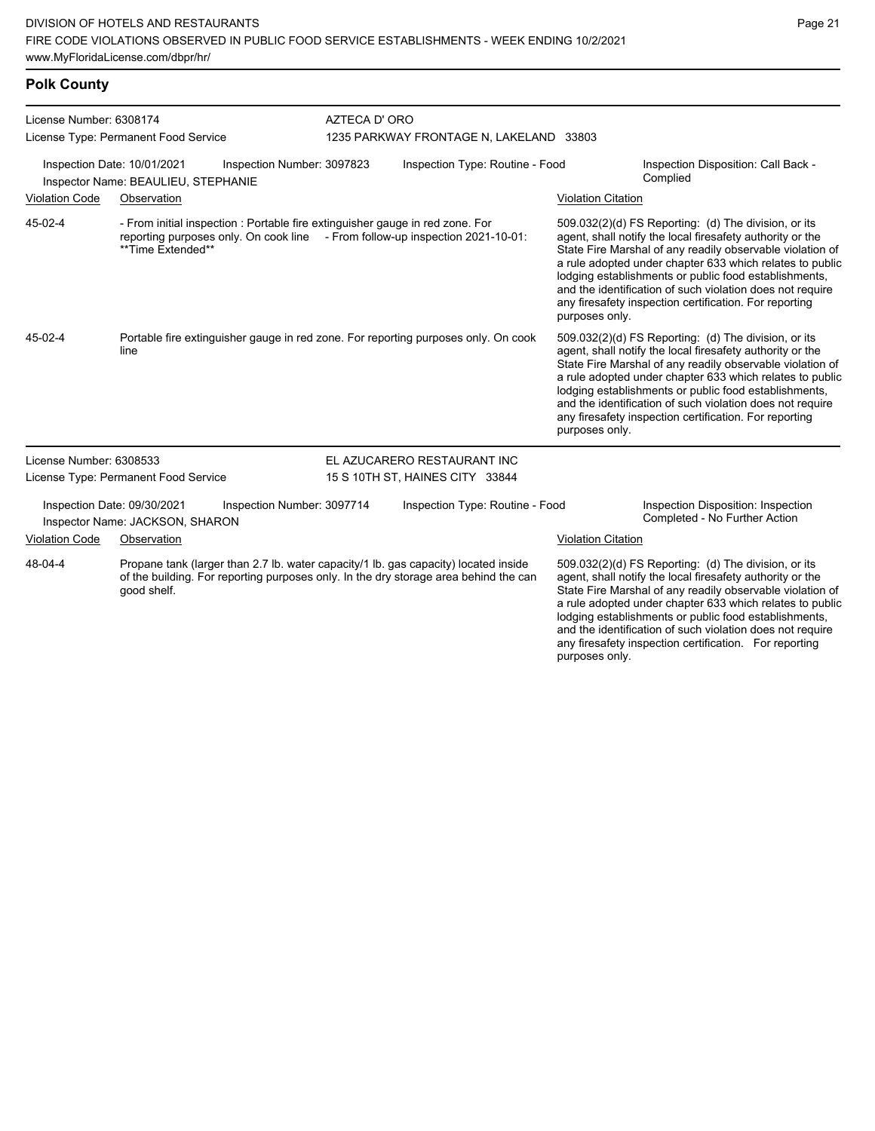## **Polk County**

| License Number: 6308174              |                                      |                                                                               | AZTECA D'ORO                            |                                                                                                                                                                             |                           |                                                                                                                                                                                                                                                                                                                                                                                                                            |  |
|--------------------------------------|--------------------------------------|-------------------------------------------------------------------------------|-----------------------------------------|-----------------------------------------------------------------------------------------------------------------------------------------------------------------------------|---------------------------|----------------------------------------------------------------------------------------------------------------------------------------------------------------------------------------------------------------------------------------------------------------------------------------------------------------------------------------------------------------------------------------------------------------------------|--|
| License Type: Permanent Food Service |                                      |                                                                               | 1235 PARKWAY FRONTAGE N, LAKELAND 33803 |                                                                                                                                                                             |                           |                                                                                                                                                                                                                                                                                                                                                                                                                            |  |
| Inspection Date: 10/01/2021          | Inspector Name: BEAULIEU, STEPHANIE  | Inspection Number: 3097823                                                    |                                         | Inspection Type: Routine - Food                                                                                                                                             |                           | Inspection Disposition: Call Back -<br>Complied                                                                                                                                                                                                                                                                                                                                                                            |  |
| <b>Violation Code</b>                | Observation                          |                                                                               |                                         |                                                                                                                                                                             | <b>Violation Citation</b> |                                                                                                                                                                                                                                                                                                                                                                                                                            |  |
| 45-02-4                              | **Time Extended**                    | - From initial inspection : Portable fire extinguisher gauge in red zone. For |                                         | reporting purposes only. On cook line - From follow-up inspection 2021-10-01:                                                                                               | purposes only.            | 509.032(2)(d) FS Reporting: (d) The division, or its<br>agent, shall notify the local firesafety authority or the<br>State Fire Marshal of any readily observable violation of<br>a rule adopted under chapter 633 which relates to public<br>lodging establishments or public food establishments,<br>and the identification of such violation does not require<br>any firesafety inspection certification. For reporting |  |
| 45-02-4                              | line                                 |                                                                               |                                         | Portable fire extinguisher gauge in red zone. For reporting purposes only. On cook                                                                                          | purposes only.            | 509.032(2)(d) FS Reporting: (d) The division, or its<br>agent, shall notify the local firesafety authority or the<br>State Fire Marshal of any readily observable violation of<br>a rule adopted under chapter 633 which relates to public<br>lodging establishments or public food establishments,<br>and the identification of such violation does not require<br>any firesafety inspection certification. For reporting |  |
| License Number: 6308533              |                                      |                                                                               |                                         | EL AZUCARERO RESTAURANT INC                                                                                                                                                 |                           |                                                                                                                                                                                                                                                                                                                                                                                                                            |  |
|                                      | License Type: Permanent Food Service |                                                                               |                                         | 15 S 10TH ST, HAINES CITY 33844                                                                                                                                             |                           |                                                                                                                                                                                                                                                                                                                                                                                                                            |  |
| Inspection Date: 09/30/2021          | Inspector Name: JACKSON, SHARON      | Inspection Number: 3097714                                                    |                                         | Inspection Type: Routine - Food                                                                                                                                             |                           | Inspection Disposition: Inspection<br>Completed - No Further Action                                                                                                                                                                                                                                                                                                                                                        |  |
| <b>Violation Code</b>                | Observation                          |                                                                               |                                         |                                                                                                                                                                             | <b>Violation Citation</b> |                                                                                                                                                                                                                                                                                                                                                                                                                            |  |
| 48-04-4                              | good shelf.                          |                                                                               |                                         | Propane tank (larger than 2.7 lb. water capacity/1 lb. gas capacity) located inside<br>of the building. For reporting purposes only. In the dry storage area behind the can |                           | 509.032(2)(d) FS Reporting: (d) The division, or its<br>agent, shall notify the local firesafety authority or the<br>State Fire Marshal of any readily observable violation of<br>a rule adopted under chapter 633 which relates to public<br>lodging establishments or public food establishments,<br>and the identification of such violation does not require<br>any firesafety inspection certification. For reporting |  |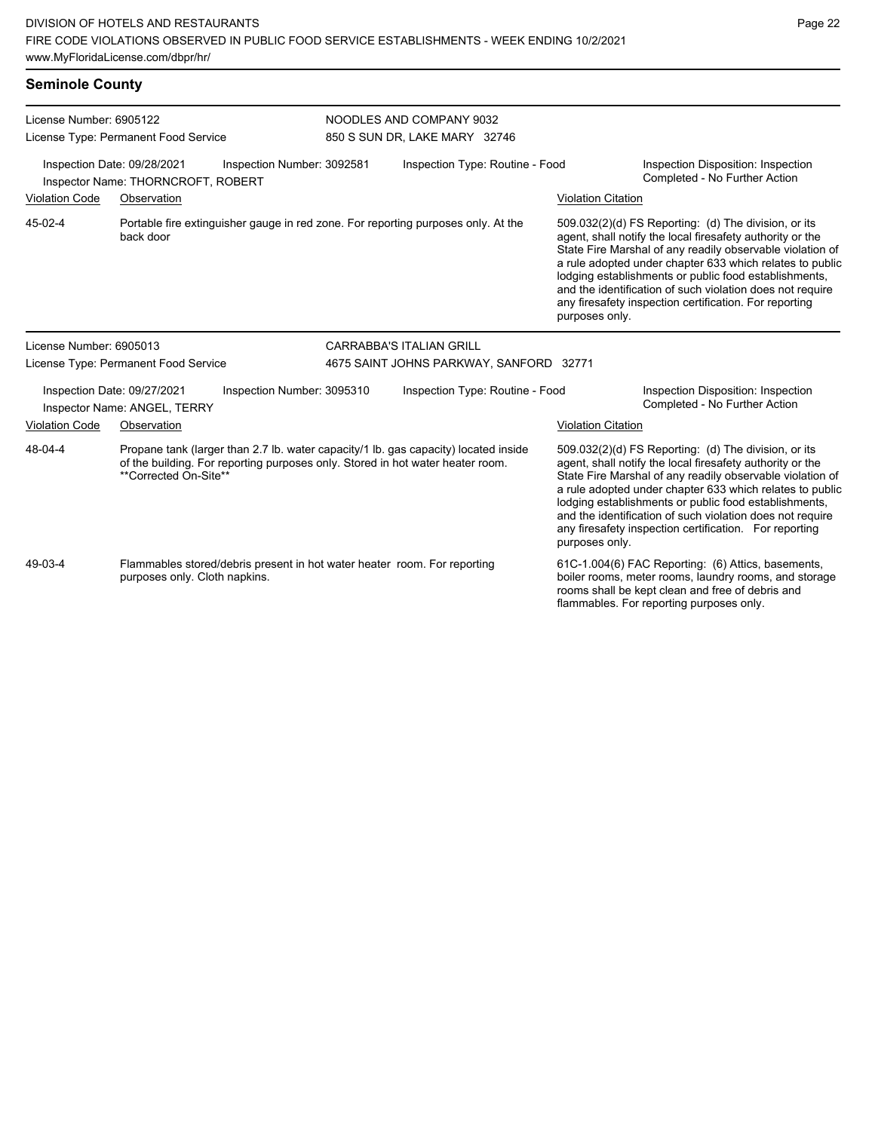| <b>Seminole County</b>                                                                                             |                                                             |                                                                                     |                                         |                                                                                                                                                                                                                                                                                                                                                                                                                                              |                                                                     |                                                                                                                                                                                                                                                                                                                                                                                                                            |  |  |
|--------------------------------------------------------------------------------------------------------------------|-------------------------------------------------------------|-------------------------------------------------------------------------------------|-----------------------------------------|----------------------------------------------------------------------------------------------------------------------------------------------------------------------------------------------------------------------------------------------------------------------------------------------------------------------------------------------------------------------------------------------------------------------------------------------|---------------------------------------------------------------------|----------------------------------------------------------------------------------------------------------------------------------------------------------------------------------------------------------------------------------------------------------------------------------------------------------------------------------------------------------------------------------------------------------------------------|--|--|
| License Number: 6905122                                                                                            |                                                             |                                                                                     |                                         | NOODLES AND COMPANY 9032                                                                                                                                                                                                                                                                                                                                                                                                                     |                                                                     |                                                                                                                                                                                                                                                                                                                                                                                                                            |  |  |
|                                                                                                                    | License Type: Permanent Food Service                        |                                                                                     |                                         | 850 S SUN DR, LAKE MARY 32746                                                                                                                                                                                                                                                                                                                                                                                                                |                                                                     |                                                                                                                                                                                                                                                                                                                                                                                                                            |  |  |
| Inspection Date: 09/28/2021<br>Inspection Number: 3092581<br>Inspector Name: THORNCROFT, ROBERT                    |                                                             |                                                                                     | Inspection Type: Routine - Food         |                                                                                                                                                                                                                                                                                                                                                                                                                                              | Inspection Disposition: Inspection<br>Completed - No Further Action |                                                                                                                                                                                                                                                                                                                                                                                                                            |  |  |
| <b>Violation Code</b>                                                                                              | Observation                                                 |                                                                                     |                                         |                                                                                                                                                                                                                                                                                                                                                                                                                                              | <b>Violation Citation</b>                                           |                                                                                                                                                                                                                                                                                                                                                                                                                            |  |  |
| 45-02-4                                                                                                            | back door                                                   |                                                                                     |                                         | Portable fire extinguisher gauge in red zone. For reporting purposes only. At the                                                                                                                                                                                                                                                                                                                                                            | purposes only.                                                      | 509.032(2)(d) FS Reporting: (d) The division, or its<br>agent, shall notify the local firesafety authority or the<br>State Fire Marshal of any readily observable violation of<br>a rule adopted under chapter 633 which relates to public<br>lodging establishments or public food establishments,<br>and the identification of such violation does not require<br>any firesafety inspection certification. For reporting |  |  |
| License Number: 6905013                                                                                            |                                                             |                                                                                     |                                         | <b>CARRABBA'S ITALIAN GRILL</b>                                                                                                                                                                                                                                                                                                                                                                                                              |                                                                     |                                                                                                                                                                                                                                                                                                                                                                                                                            |  |  |
|                                                                                                                    | License Type: Permanent Food Service                        |                                                                                     | 4675 SAINT JOHNS PARKWAY, SANFORD 32771 |                                                                                                                                                                                                                                                                                                                                                                                                                                              |                                                                     |                                                                                                                                                                                                                                                                                                                                                                                                                            |  |  |
|                                                                                                                    | Inspection Date: 09/27/2021<br>Inspector Name: ANGEL, TERRY | Inspection Number: 3095310                                                          | Inspection Type: Routine - Food         |                                                                                                                                                                                                                                                                                                                                                                                                                                              |                                                                     | Inspection Disposition: Inspection<br>Completed - No Further Action                                                                                                                                                                                                                                                                                                                                                        |  |  |
| <b>Violation Code</b>                                                                                              | Observation                                                 |                                                                                     |                                         |                                                                                                                                                                                                                                                                                                                                                                                                                                              | <b>Violation Citation</b>                                           |                                                                                                                                                                                                                                                                                                                                                                                                                            |  |  |
| 48-04-4<br>of the building. For reporting purposes only. Stored in hot water heater room.<br>**Corrected On-Site** |                                                             | Propane tank (larger than 2.7 lb. water capacity/1 lb. gas capacity) located inside |                                         | 509.032(2)(d) FS Reporting: (d) The division, or its<br>agent, shall notify the local firesafety authority or the<br>State Fire Marshal of any readily observable violation of<br>a rule adopted under chapter 633 which relates to public<br>lodging establishments or public food establishments,<br>and the identification of such violation does not require<br>any firesafety inspection certification. For reporting<br>purposes only. |                                                                     |                                                                                                                                                                                                                                                                                                                                                                                                                            |  |  |

Flammables stored/debris present in hot water heater room. For reporting purposes only. Cloth napkins.

49-03-4

61C-1.004(6) FAC Reporting: (6) Attics, basements, boiler rooms, meter rooms, laundry rooms, and storage rooms shall be kept clean and free of debris and flammables. For reporting purposes only.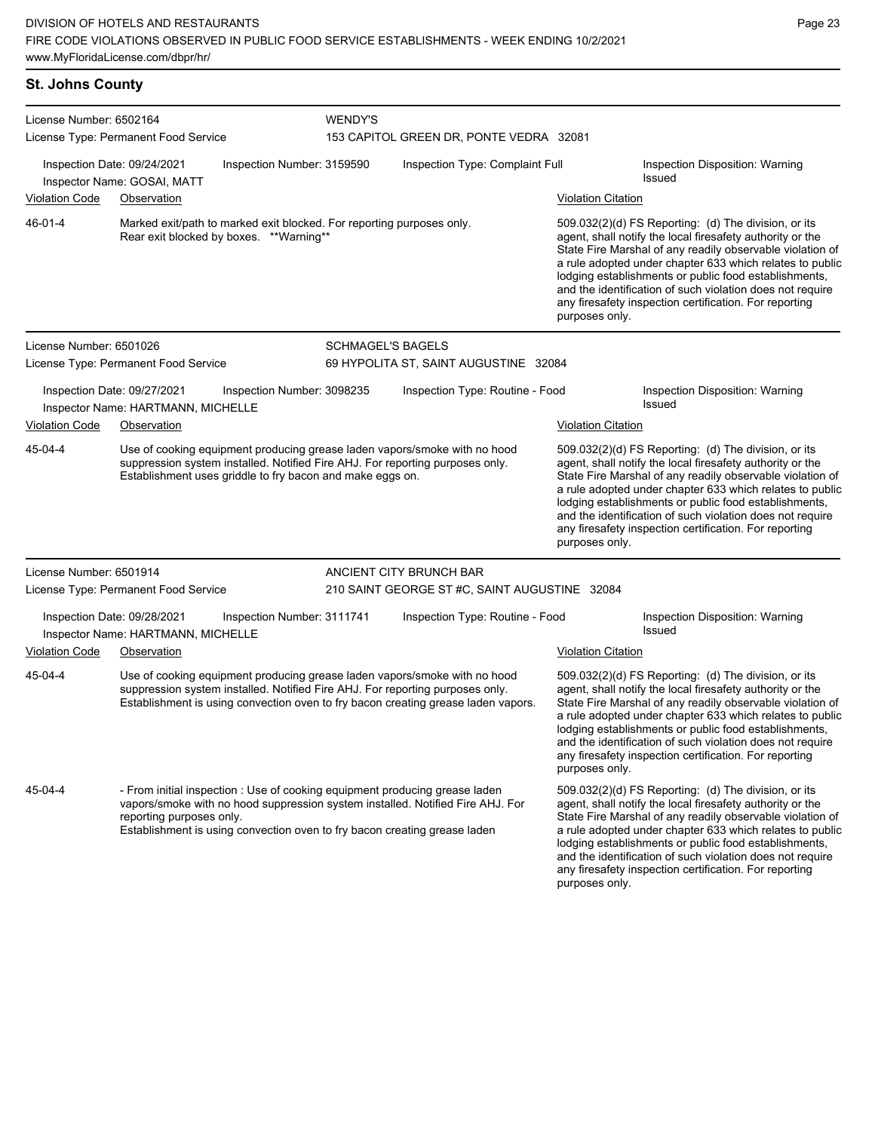# License Number: 6502164 License Type: Permanent Food Service WENDY'S 153 CAPITOL GREEN DR, PONTE VEDRA 32081 Inspection Date: 09/24/2021 Inspection Number: 3159590 Inspection Type: Complaint Full Inspection Disposition: Warning Issued Inspector Name: GOSAI, MATT Violation Code Observation Violation Citation Marked exit/path to marked exit blocked. For reporting purposes only. Rear exit blocked by boxes. \*\*Warning\*\* 46-01-4 License Number: 6501026 License Type: Permanent Food Service SCHMAGEL'S BAGELS 69 HYPOLITA ST, SAINT AUGUSTINE 32084 Inspection Date: 09/27/2021 Inspection Number: 3098235 Inspection Type: Routine - Food Inspection Disposition: Warning Inspector Name: HARTMANN, MICHELLE Violation Code Observation **Violation Citation** Violation Citation Citation Use of cooking equipment producing grease laden vapors/smoke with no hood suppression system installed. Notified Fire AHJ. For reporting purposes only. Establishment uses griddle to fry bacon and make eggs on. 45-04-4

**St. Johns County**

509.032(2)(d) FS Reporting: (d) The division, or its agent, shall notify the local firesafety authority or the State Fire Marshal of any readily observable violation of a rule adopted under chapter 633 which relates to public lodging establishments or public food establishments, and the identification of such violation does not require any firesafety inspection certification. For reporting purposes only.

any firesafety inspection certification. For reporting

purposes only.

509.032(2)(d) FS Reporting: (d) The division, or its agent, shall notify the local firesafety authority or the State Fire Marshal of any readily observable violation of a rule adopted under chapter 633 which relates to public lodging establishments or public food establishments, and the identification of such violation does not require any firesafety inspection certification. For reporting

purposes only.

License Number: 6501914 License Type: Permanent Food Service ANCIENT CITY BRUNCH BAR 210 SAINT GEORGE ST #C, SAINT AUGUSTINE 32084 Inspection Date: 09/28/2021 Inspection Number: 3111741 Inspection Type: Routine - Food Inspection Disposition: Warning<br>Inspection Date: UARTMANN MICUEU E Inspector Name: HARTMANN, MICHELLE Violation Code Observation Violation Citation Use of cooking equipment producing grease laden vapors/smoke with no hood suppression system installed. Notified Fire AHJ. For reporting purposes only. Establishment is using convection oven to fry bacon creating grease laden vapors. 509.032(2)(d) FS Reporting: (d) The division, or its agent, shall notify the local firesafety authority or the State Fire Marshal of any readily observable violation of a rule adopted under chapter 633 which relates to public lodging establishments or public food establishments, and the identification of such violation does not require any firesafety inspection certification. For reporting purposes only. 45-04-4 - From initial inspection : Use of cooking equipment producing grease laden vapors/smoke with no hood suppression system installed. Notified Fire AHJ. For reporting purposes only. Establishment is using convection oven to fry bacon creating grease laden 509.032(2)(d) FS Reporting: (d) The division, or its agent, shall notify the local firesafety authority or the State Fire Marshal of any readily observable violation of a rule adopted under chapter 633 which relates to public lodging establishments or public food establishments, and the identification of such violation does not require 45-04-4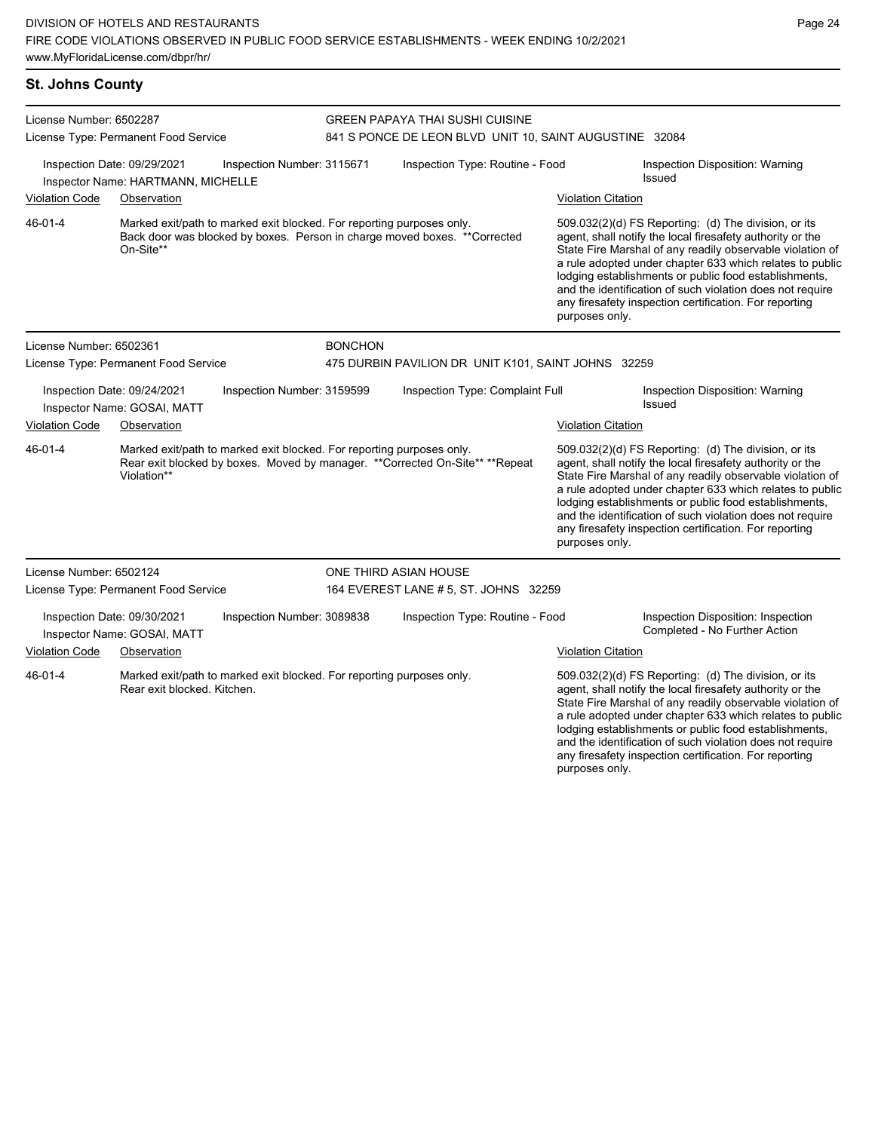## **St. Johns County**

| License Number: 6502287                                                                         |                                                            |                                                                       | <b>GREEN PAPAYA THAI SUSHI CUISINE</b> |                                                                                |                           |                                                                                                                                                                                                                                                                                                                                                                                                                            |  |
|-------------------------------------------------------------------------------------------------|------------------------------------------------------------|-----------------------------------------------------------------------|----------------------------------------|--------------------------------------------------------------------------------|---------------------------|----------------------------------------------------------------------------------------------------------------------------------------------------------------------------------------------------------------------------------------------------------------------------------------------------------------------------------------------------------------------------------------------------------------------------|--|
|                                                                                                 | License Type: Permanent Food Service                       |                                                                       |                                        | 841 S PONCE DE LEON BLVD UNIT 10, SAINT AUGUSTINE 32084                        |                           |                                                                                                                                                                                                                                                                                                                                                                                                                            |  |
| Inspection Date: 09/29/2021<br>Inspection Number: 3115671<br>Inspector Name: HARTMANN, MICHELLE |                                                            |                                                                       |                                        | Inspection Type: Routine - Food                                                |                           | Inspection Disposition: Warning<br>Issued                                                                                                                                                                                                                                                                                                                                                                                  |  |
| <b>Violation Code</b>                                                                           | Observation                                                |                                                                       |                                        |                                                                                | <b>Violation Citation</b> |                                                                                                                                                                                                                                                                                                                                                                                                                            |  |
| 46-01-4                                                                                         | On-Site**                                                  | Marked exit/path to marked exit blocked. For reporting purposes only. |                                        | Back door was blocked by boxes. Person in charge moved boxes. ** Corrected     | purposes only.            | 509.032(2)(d) FS Reporting: (d) The division, or its<br>agent, shall notify the local firesafety authority or the<br>State Fire Marshal of any readily observable violation of<br>a rule adopted under chapter 633 which relates to public<br>lodging establishments or public food establishments,<br>and the identification of such violation does not require<br>any firesafety inspection certification. For reporting |  |
| License Number: 6502361                                                                         |                                                            |                                                                       | <b>BONCHON</b>                         |                                                                                |                           |                                                                                                                                                                                                                                                                                                                                                                                                                            |  |
|                                                                                                 | License Type: Permanent Food Service                       |                                                                       |                                        | 475 DURBIN PAVILION DR UNIT K101, SAINT JOHNS 32259                            |                           |                                                                                                                                                                                                                                                                                                                                                                                                                            |  |
|                                                                                                 | Inspection Date: 09/24/2021<br>Inspector Name: GOSAI, MATT | Inspection Number: 3159599                                            |                                        | Inspection Type: Complaint Full                                                |                           | Inspection Disposition: Warning<br><b>Issued</b>                                                                                                                                                                                                                                                                                                                                                                           |  |
| <b>Violation Code</b>                                                                           | Observation                                                |                                                                       |                                        |                                                                                | <b>Violation Citation</b> |                                                                                                                                                                                                                                                                                                                                                                                                                            |  |
| 46-01-4                                                                                         | Violation**                                                | Marked exit/path to marked exit blocked. For reporting purposes only. |                                        | Rear exit blocked by boxes. Moved by manager. ** Corrected On-Site** ** Repeat | purposes only.            | 509.032(2)(d) FS Reporting: (d) The division, or its<br>agent, shall notify the local firesafety authority or the<br>State Fire Marshal of any readily observable violation of<br>a rule adopted under chapter 633 which relates to public<br>lodging establishments or public food establishments,<br>and the identification of such violation does not require<br>any firesafety inspection certification. For reporting |  |
| License Number: 6502124                                                                         |                                                            |                                                                       |                                        | ONE THIRD ASIAN HOUSE                                                          |                           |                                                                                                                                                                                                                                                                                                                                                                                                                            |  |
|                                                                                                 | License Type: Permanent Food Service                       |                                                                       |                                        | 164 EVEREST LANE # 5, ST. JOHNS 32259                                          |                           |                                                                                                                                                                                                                                                                                                                                                                                                                            |  |
|                                                                                                 | Inspection Date: 09/30/2021<br>Inspector Name: GOSAI, MATT | Inspection Number: 3089838                                            |                                        | Inspection Type: Routine - Food                                                |                           | Inspection Disposition: Inspection<br>Completed - No Further Action                                                                                                                                                                                                                                                                                                                                                        |  |
| <b>Violation Code</b>                                                                           | Observation                                                |                                                                       |                                        |                                                                                | <b>Violation Citation</b> |                                                                                                                                                                                                                                                                                                                                                                                                                            |  |
| 46-01-4                                                                                         | Rear exit blocked. Kitchen.                                | Marked exit/path to marked exit blocked. For reporting purposes only. |                                        |                                                                                | purposes only.            | 509.032(2)(d) FS Reporting: (d) The division, or its<br>agent, shall notify the local firesafety authority or the<br>State Fire Marshal of any readily observable violation of<br>a rule adopted under chapter 633 which relates to public<br>lodging establishments or public food establishments,<br>and the identification of such violation does not require<br>any firesafety inspection certification. For reporting |  |